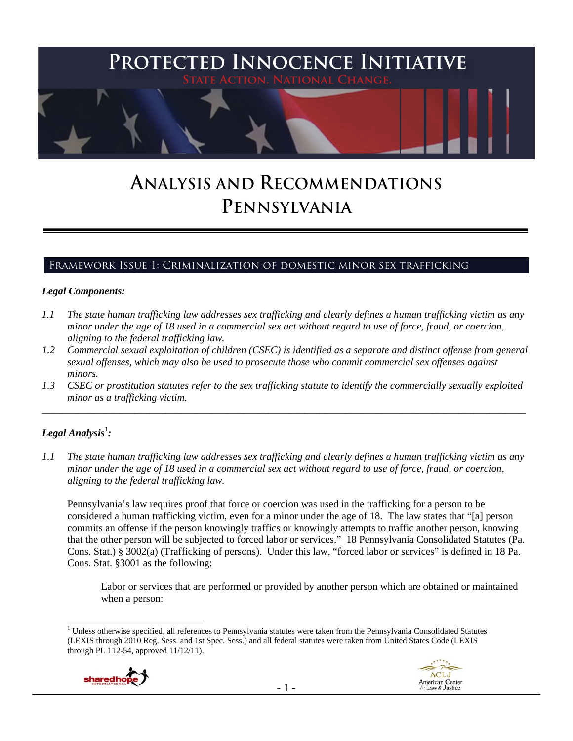

# **ANALYSIS AND RECOMMENDATIONS PENNSYLVANIA**

# Framework Issue 1: Criminalization of domestic minor sex trafficking

#### *Legal Components:*

- *1.1 The state human trafficking law addresses sex trafficking and clearly defines a human trafficking victim as any minor under the age of 18 used in a commercial sex act without regard to use of force, fraud, or coercion, aligning to the federal trafficking law.*
- *1.2 Commercial sexual exploitation of children (CSEC) is identified as a separate and distinct offense from general sexual offenses, which may also be used to prosecute those who commit commercial sex offenses against minors.*
- *1.3 CSEC or prostitution statutes refer to the sex trafficking statute to identify the commercially sexually exploited minor as a trafficking victim.*  \_\_\_\_\_\_\_\_\_\_\_\_\_\_\_\_\_\_\_\_\_\_\_\_\_\_\_\_\_\_\_\_\_\_\_\_\_\_\_\_\_\_\_\_\_\_\_\_\_\_\_\_\_\_\_\_\_\_\_\_\_\_\_\_\_\_\_\_\_\_\_\_\_\_\_\_\_\_\_\_\_\_\_\_\_\_\_\_\_\_\_\_\_\_

# $\bm{L}$ egal Analysis $^{\rm l}$ :

*1.1 The state human trafficking law addresses sex trafficking and clearly defines a human trafficking victim as any minor under the age of 18 used in a commercial sex act without regard to use of force, fraud, or coercion, aligning to the federal trafficking law.*

Pennsylvania's law requires proof that force or coercion was used in the trafficking for a person to be considered a human trafficking victim, even for a minor under the age of 18. The law states that "[a] person commits an offense if the person knowingly traffics or knowingly attempts to traffic another person, knowing that the other person will be subjected to forced labor or services." 18 Pennsylvania Consolidated Statutes (Pa. Cons. Stat.) § 3002(a) (Trafficking of persons). Under this law, "forced labor or services" is defined in 18 Pa. Cons. Stat. §3001 as the following:

Labor or services that are performed or provided by another person which are obtained or maintained when a person:

 $\overline{a}$ <sup>1</sup> Unless otherwise specified, all references to Pennsylvania statutes were taken from the Pennsylvania Consolidated Statutes (LEXIS through 2010 Reg. Sess. and 1st Spec. Sess.) and all federal statutes were taken from United States Code (LEXIS through PL 112-54, approved 11/12/11).



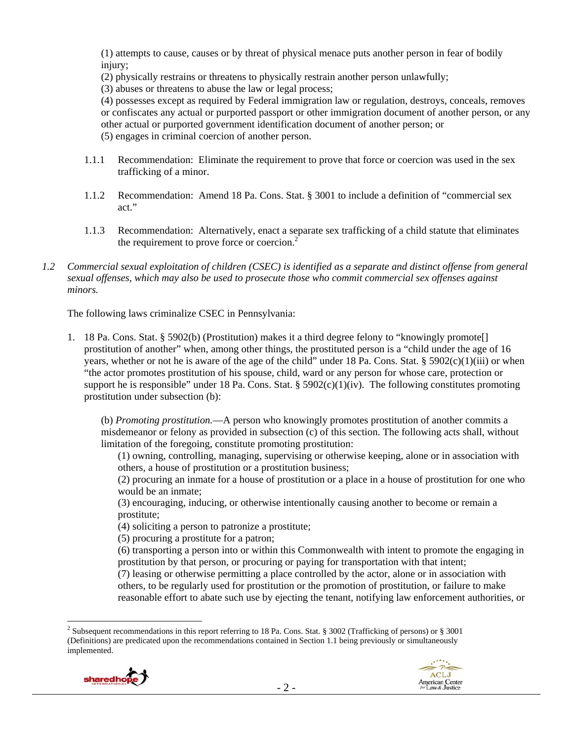(1) attempts to cause, causes or by threat of physical menace puts another person in fear of bodily injury;

(2) physically restrains or threatens to physically restrain another person unlawfully;

(3) abuses or threatens to abuse the law or legal process;

(4) possesses except as required by Federal immigration law or regulation, destroys, conceals, removes or confiscates any actual or purported passport or other immigration document of another person, or any other actual or purported government identification document of another person; or

(5) engages in criminal coercion of another person.

- 1.1.1 Recommendation: Eliminate the requirement to prove that force or coercion was used in the sex trafficking of a minor.
- 1.1.2 Recommendation: Amend 18 Pa. Cons. Stat. § 3001 to include a definition of "commercial sex act."
- 1.1.3 Recommendation: Alternatively, enact a separate sex trafficking of a child statute that eliminates the requirement to prove force or coercion.<sup>2</sup>

#### *1.2 Commercial sexual exploitation of children (CSEC) is identified as a separate and distinct offense from general sexual offenses, which may also be used to prosecute those who commit commercial sex offenses against minors.*

The following laws criminalize CSEC in Pennsylvania:

1. 18 Pa. Cons. Stat. § 5902(b) (Prostitution) makes it a third degree felony to "knowingly promote[] prostitution of another" when, among other things, the prostituted person is a "child under the age of 16 years, whether or not he is aware of the age of the child" under 18 Pa. Cons. Stat. §  $5902(c)(1)(iii)$  or when "the actor promotes prostitution of his spouse, child, ward or any person for whose care, protection or support he is responsible" under 18 Pa. Cons. Stat.  $\S 5902(c)(1)(iv)$ . The following constitutes promoting prostitution under subsection (b):

(b) *Promoting prostitution.*—A person who knowingly promotes prostitution of another commits a misdemeanor or felony as provided in subsection (c) of this section. The following acts shall, without limitation of the foregoing, constitute promoting prostitution:

(1) owning, controlling, managing, supervising or otherwise keeping, alone or in association with others, a house of prostitution or a prostitution business;

(2) procuring an inmate for a house of prostitution or a place in a house of prostitution for one who would be an inmate;

(3) encouraging, inducing, or otherwise intentionally causing another to become or remain a prostitute;

(4) soliciting a person to patronize a prostitute;

(5) procuring a prostitute for a patron;

(6) transporting a person into or within this Commonwealth with intent to promote the engaging in prostitution by that person, or procuring or paying for transportation with that intent;

(7) leasing or otherwise permitting a place controlled by the actor, alone or in association with others, to be regularly used for prostitution or the promotion of prostitution, or failure to make reasonable effort to abate such use by ejecting the tenant, notifying law enforcement authorities, or

<sup>&</sup>lt;sup>2</sup> Subsequent recommendations in this report referring to 18 Pa. Cons. Stat. § 3002 (Trafficking of persons) or § 3001 (Definitions) are predicated upon the recommendations contained in Section 1.1 being previously or simultaneously implemented.

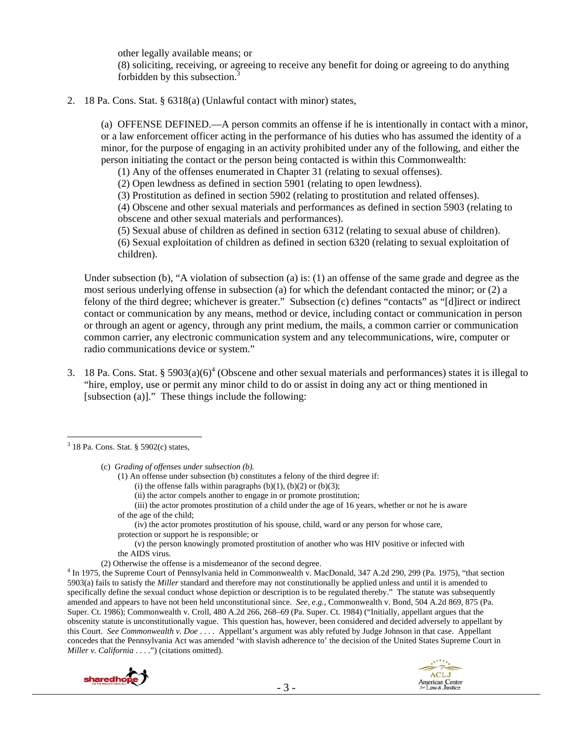other legally available means; or (8) soliciting, receiving, or agreeing to receive any benefit for doing or agreeing to do anything forbidden by this subsection.<sup>3</sup>

2. 18 Pa. Cons. Stat. § 6318(a) (Unlawful contact with minor) states,

(a) OFFENSE DEFINED.—A person commits an offense if he is intentionally in contact with a minor, or a law enforcement officer acting in the performance of his duties who has assumed the identity of a minor, for the purpose of engaging in an activity prohibited under any of the following, and either the person initiating the contact or the person being contacted is within this Commonwealth:

(1) Any of the offenses enumerated in Chapter 31 (relating to sexual offenses).

(2) Open lewdness as defined in section 5901 (relating to open lewdness).

(3) Prostitution as defined in section 5902 (relating to prostitution and related offenses).

(4) Obscene and other sexual materials and performances as defined in section 5903 (relating to obscene and other sexual materials and performances).

(5) Sexual abuse of children as defined in section 6312 (relating to sexual abuse of children). (6) Sexual exploitation of children as defined in section 6320 (relating to sexual exploitation of children).

Under subsection (b), "A violation of subsection (a) is: (1) an offense of the same grade and degree as the most serious underlying offense in subsection (a) for which the defendant contacted the minor; or (2) a felony of the third degree; whichever is greater." Subsection (c) defines "contacts" as "[d]irect or indirect contact or communication by any means, method or device, including contact or communication in person or through an agent or agency, through any print medium, the mails, a common carrier or communication common carrier, any electronic communication system and any telecommunications, wire, computer or radio communications device or system."

3. 18 Pa. Cons. Stat. §  $5903(a)(6)^4$  (Obscene and other sexual materials and performances) states it is illegal to "hire, employ, use or permit any minor child to do or assist in doing any act or thing mentioned in [subsection (a)]." These things include the following:

(c) *Grading of offenses under subsection (b).* 

(1) An offense under subsection (b) constitutes a felony of the third degree if:

 (iii) the actor promotes prostitution of a child under the age of 16 years, whether or not he is aware of the age of the child;

 (iv) the actor promotes prostitution of his spouse, child, ward or any person for whose care, protection or support he is responsible; or

 (v) the person knowingly promoted prostitution of another who was HIV positive or infected with the AIDS virus.

(2) Otherwise the offense is a misdemeanor of the second degree.<br><sup>4</sup> In 1975, the Supreme Court of Pennsylvania held in Commonwealth v. MacDonald, 347 A.2d 290, 299 (Pa. 1975), "that section 5903(a) fails to satisfy the *Miller* standard and therefore may not constitutionally be applied unless and until it is amended to specifically define the sexual conduct whose depiction or description is to be regulated thereby." The statute was subsequently amended and appears to have not been held unconstitutional since. *See, e.g.*, Commonwealth v. Bond, 504 A.2d 869, 875 (Pa. Super. Ct. 1986); Commonwealth v. Croll, 480 A.2d 266, 268–69 (Pa. Super. Ct. 1984) ("Initially, appellant argues that the obscenity statute is unconstitutionally vague. This question has, however, been considered and decided adversely to appellant by this Court. *See Commonwealth v. Doe* . . . . Appellant's argument was ably refuted by Judge Johnson in that case. Appellant concedes that the Pennsylvania Act was amended 'with slavish adherence to' the decision of the United States Supreme Court in *Miller v. California* . . . .") (citations omitted).





 $\overline{a}$  $3$  18 Pa. Cons. Stat. § 5902(c) states,

<sup>(</sup>i) the offense falls within paragraphs  $(b)(1)$ ,  $(b)(2)$  or  $(b)(3)$ ;

 <sup>(</sup>ii) the actor compels another to engage in or promote prostitution;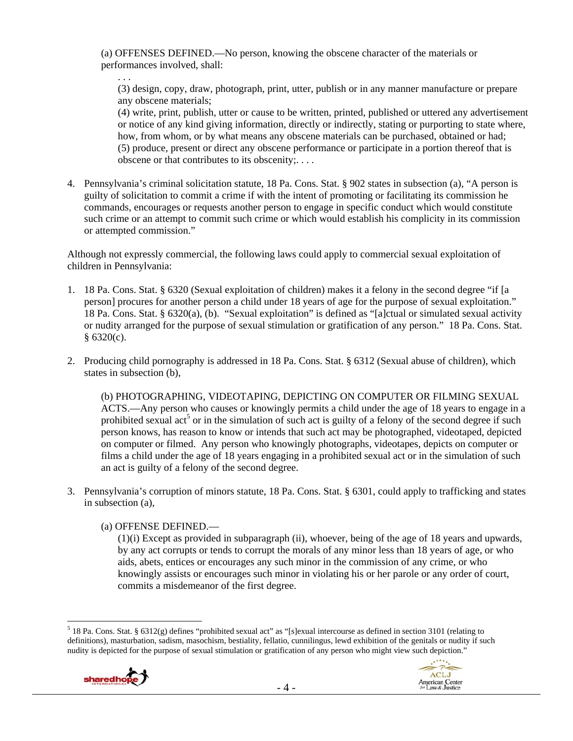(a) OFFENSES DEFINED.—No person, knowing the obscene character of the materials or performances involved, shall:

. . . (3) design, copy, draw, photograph, print, utter, publish or in any manner manufacture or prepare any obscene materials;

(4) write, print, publish, utter or cause to be written, printed, published or uttered any advertisement or notice of any kind giving information, directly or indirectly, stating or purporting to state where, how, from whom, or by what means any obscene materials can be purchased, obtained or had; (5) produce, present or direct any obscene performance or participate in a portion thereof that is obscene or that contributes to its obscenity;. . . .

4. Pennsylvania's criminal solicitation statute, 18 Pa. Cons. Stat. § 902 states in subsection (a), "A person is guilty of solicitation to commit a crime if with the intent of promoting or facilitating its commission he commands, encourages or requests another person to engage in specific conduct which would constitute such crime or an attempt to commit such crime or which would establish his complicity in its commission or attempted commission."

Although not expressly commercial, the following laws could apply to commercial sexual exploitation of children in Pennsylvania:

- 1. 18 Pa. Cons. Stat. § 6320 (Sexual exploitation of children) makes it a felony in the second degree "if [a person] procures for another person a child under 18 years of age for the purpose of sexual exploitation." 18 Pa. Cons. Stat. § 6320(a), (b). "Sexual exploitation" is defined as "[a]ctual or simulated sexual activity or nudity arranged for the purpose of sexual stimulation or gratification of any person." 18 Pa. Cons. Stat.  $§ 6320(c).$
- 2. Producing child pornography is addressed in 18 Pa. Cons. Stat. § 6312 (Sexual abuse of children), which states in subsection (b),

(b) PHOTOGRAPHING, VIDEOTAPING, DEPICTING ON COMPUTER OR FILMING SEXUAL ACTS.—Any person who causes or knowingly permits a child under the age of 18 years to engage in a prohibited sexual act<sup>5</sup> or in the simulation of such act is guilty of a felony of the second degree if such person knows, has reason to know or intends that such act may be photographed, videotaped, depicted on computer or filmed. Any person who knowingly photographs, videotapes, depicts on computer or films a child under the age of 18 years engaging in a prohibited sexual act or in the simulation of such an act is guilty of a felony of the second degree.

3. Pennsylvania's corruption of minors statute, 18 Pa. Cons. Stat. § 6301, could apply to trafficking and states in subsection (a),

# (a) OFFENSE DEFINED.—

(1)(i) Except as provided in subparagraph (ii), whoever, being of the age of 18 years and upwards, by any act corrupts or tends to corrupt the morals of any minor less than 18 years of age, or who aids, abets, entices or encourages any such minor in the commission of any crime, or who knowingly assists or encourages such minor in violating his or her parole or any order of court, commits a misdemeanor of the first degree.

 $\overline{a}$  $5$  18 Pa. Cons. Stat. § 6312(g) defines "prohibited sexual act" as "[s]exual intercourse as defined in section 3101 (relating to definitions), masturbation, sadism, masochism, bestiality, fellatio, cunnilingus, lewd exhibition of the genitals or nudity if such nudity is depicted for the purpose of sexual stimulation or gratification of any person who might view such depiction."



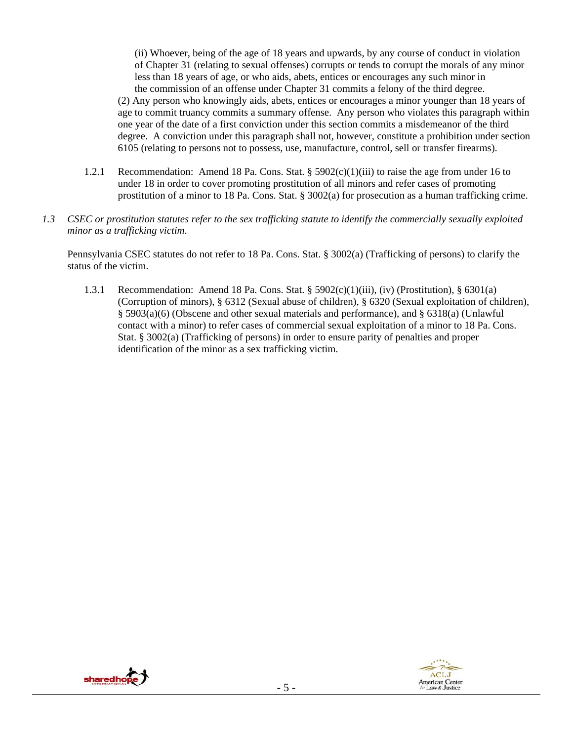(ii) Whoever, being of the age of 18 years and upwards, by any course of conduct in violation of Chapter 31 (relating to sexual offenses) corrupts or tends to corrupt the morals of any minor less than 18 years of age, or who aids, abets, entices or encourages any such minor in the commission of an offense under Chapter 31 commits a felony of the third degree.

(2) Any person who knowingly aids, abets, entices or encourages a minor younger than 18 years of age to commit truancy commits a summary offense. Any person who violates this paragraph within one year of the date of a first conviction under this section commits a misdemeanor of the third degree. A conviction under this paragraph shall not, however, constitute a prohibition under section 6105 (relating to persons not to possess, use, manufacture, control, sell or transfer firearms).

- 1.2.1 Recommendation: Amend 18 Pa. Cons. Stat.  $\S$  5902(c)(1)(iii) to raise the age from under 16 to under 18 in order to cover promoting prostitution of all minors and refer cases of promoting prostitution of a minor to 18 Pa. Cons. Stat. § 3002(a) for prosecution as a human trafficking crime.
- *1.3 CSEC or prostitution statutes refer to the sex trafficking statute to identify the commercially sexually exploited minor as a trafficking victim*.

Pennsylvania CSEC statutes do not refer to 18 Pa. Cons. Stat. § 3002(a) (Trafficking of persons) to clarify the status of the victim.

1.3.1 Recommendation: Amend 18 Pa. Cons. Stat. § 5902(c)(1)(iii), (iv) (Prostitution), § 6301(a) (Corruption of minors), § 6312 (Sexual abuse of children), § 6320 (Sexual exploitation of children), § 5903(a)(6) (Obscene and other sexual materials and performance), and § 6318(a) (Unlawful contact with a minor) to refer cases of commercial sexual exploitation of a minor to 18 Pa. Cons. Stat. § 3002(a) (Trafficking of persons) in order to ensure parity of penalties and proper identification of the minor as a sex trafficking victim.



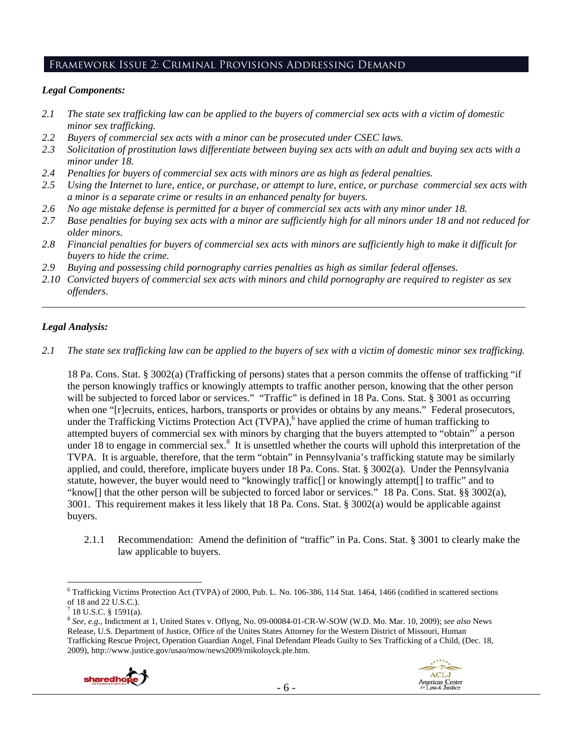# Framework Issue 2: Criminal Provisions Addressing Demand

# *Legal Components:*

- *2.1 The state sex trafficking law can be applied to the buyers of commercial sex acts with a victim of domestic minor sex trafficking.*
- *2.2 Buyers of commercial sex acts with a minor can be prosecuted under CSEC laws.*
- *2.3 Solicitation of prostitution laws differentiate between buying sex acts with an adult and buying sex acts with a minor under 18.*
- *2.4 Penalties for buyers of commercial sex acts with minors are as high as federal penalties.*
- *2.5 Using the Internet to lure, entice, or purchase, or attempt to lure, entice, or purchase commercial sex acts with a minor is a separate crime or results in an enhanced penalty for buyers.*
- *2.6 No age mistake defense is permitted for a buyer of commercial sex acts with any minor under 18.*
- *2.7 Base penalties for buying sex acts with a minor are sufficiently high for all minors under 18 and not reduced for older minors.*
- *2.8 Financial penalties for buyers of commercial sex acts with minors are sufficiently high to make it difficult for buyers to hide the crime.*
- *2.9 Buying and possessing child pornography carries penalties as high as similar federal offenses.*
- *2.10 Convicted buyers of commercial sex acts with minors and child pornography are required to register as sex offenders*.

\_\_\_\_\_\_\_\_\_\_\_\_\_\_\_\_\_\_\_\_\_\_\_\_\_\_\_\_\_\_\_\_\_\_\_\_\_\_\_\_\_\_\_\_\_\_\_\_\_\_\_\_\_\_\_\_\_\_\_\_\_\_\_\_\_\_\_\_\_\_\_\_\_\_\_\_\_\_\_\_\_\_\_\_\_\_\_\_\_\_\_\_\_\_

# *Legal Analysis:*

*2.1 The state sex trafficking law can be applied to the buyers of sex with a victim of domestic minor sex trafficking.*

18 Pa. Cons. Stat. § 3002(a) (Trafficking of persons) states that a person commits the offense of trafficking "if the person knowingly traffics or knowingly attempts to traffic another person, knowing that the other person will be subjected to forced labor or services." "Traffic" is defined in 18 Pa. Cons. Stat. § 3001 as occurring when one "[r]ecruits, entices, harbors, transports or provides or obtains by any means." Federal prosecutors, under the Trafficking Victims Protection Act  $(TVPA)$ , have applied the crime of human trafficking to attempted buyers of commercial sex with minors by charging that the buyers attempted to "obtain"<sup>7</sup> a person under 18 to engage in commercial sex.<sup>8</sup> It is unsettled whether the courts will uphold this interpretation of the TVPA. It is arguable, therefore, that the term "obtain" in Pennsylvania's trafficking statute may be similarly applied, and could, therefore, implicate buyers under 18 Pa. Cons. Stat. § 3002(a). Under the Pennsylvania statute, however, the buyer would need to "knowingly traffic[] or knowingly attempt[] to traffic" and to "know[] that the other person will be subjected to forced labor or services." 18 Pa. Cons. Stat. §§ 3002(a), 3001. This requirement makes it less likely that 18 Pa. Cons. Stat. § 3002(a) would be applicable against buyers.

2.1.1 Recommendation: Amend the definition of "traffic" in Pa. Cons. Stat. § 3001 to clearly make the law applicable to buyers.

<sup>8</sup> *See, e.g*., Indictment at 1, United States v. Oflyng, No. 09-00084-01-CR-W-SOW (W.D. Mo. Mar. 10, 2009); *see also* News Release, U.S. Department of Justice, Office of the Unites States Attorney for the Western District of Missouri, Human Trafficking Rescue Project, Operation Guardian Angel, Final Defendant Pleads Guilty to Sex Trafficking of a Child, (Dec. 18, 2009), http://www.justice.gov/usao/mow/news2009/mikoloyck.ple.htm.



 $\overline{a}$ <sup>6</sup> Trafficking Victims Protection Act (TVPA) of 2000, Pub. L. No. 106-386, 114 Stat. 1464, 1466 (codified in scattered sections of 18 and 22 U.S.C.).

 $7$  18 U.S.C. § 1591(a).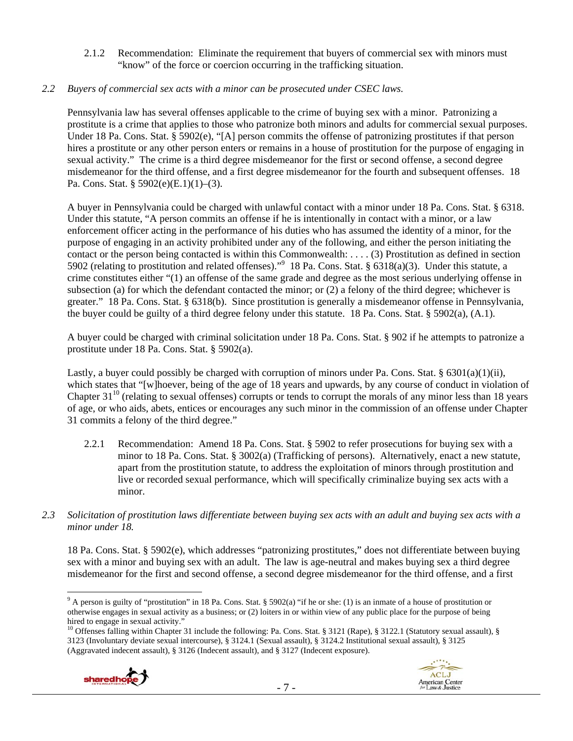2.1.2 Recommendation: Eliminate the requirement that buyers of commercial sex with minors must "know" of the force or coercion occurring in the trafficking situation.

#### *2.2 Buyers of commercial sex acts with a minor can be prosecuted under CSEC laws.*

Pennsylvania law has several offenses applicable to the crime of buying sex with a minor. Patronizing a prostitute is a crime that applies to those who patronize both minors and adults for commercial sexual purposes. Under 18 Pa. Cons. Stat. § 5902(e), "[A] person commits the offense of patronizing prostitutes if that person hires a prostitute or any other person enters or remains in a house of prostitution for the purpose of engaging in sexual activity." The crime is a third degree misdemeanor for the first or second offense, a second degree misdemeanor for the third offense, and a first degree misdemeanor for the fourth and subsequent offenses. 18 Pa. Cons. Stat. § 5902(e)(E.1)(1)–(3).

A buyer in Pennsylvania could be charged with unlawful contact with a minor under 18 Pa. Cons. Stat. § 6318. Under this statute, "A person commits an offense if he is intentionally in contact with a minor, or a law enforcement officer acting in the performance of his duties who has assumed the identity of a minor, for the purpose of engaging in an activity prohibited under any of the following, and either the person initiating the contact or the person being contacted is within this Commonwealth: . . . . (3) Prostitution as defined in section 5902 (relating to prostitution and related offenses)."<sup>9</sup> 18 Pa. Cons. Stat. § 6318(a)(3). Under this statute, a crime constitutes either "(1) an offense of the same grade and degree as the most serious underlying offense in subsection (a) for which the defendant contacted the minor; or (2) a felony of the third degree; whichever is greater." 18 Pa. Cons. Stat. § 6318(b). Since prostitution is generally a misdemeanor offense in Pennsylvania, the buyer could be guilty of a third degree felony under this statute. 18 Pa. Cons. Stat. § 5902(a), (A.1).

A buyer could be charged with criminal solicitation under 18 Pa. Cons. Stat. § 902 if he attempts to patronize a prostitute under 18 Pa. Cons. Stat. § 5902(a).

Lastly, a buyer could possibly be charged with corruption of minors under Pa. Cons. Stat. § 6301(a)(1)(ii), which states that "[w]hoever, being of the age of 18 years and upwards, by any course of conduct in violation of Chapter  $31^{10}$  (relating to sexual offenses) corrupts or tends to corrupt the morals of any minor less than 18 years of age, or who aids, abets, entices or encourages any such minor in the commission of an offense under Chapter 31 commits a felony of the third degree."

- 2.2.1 Recommendation: Amend 18 Pa. Cons. Stat. § 5902 to refer prosecutions for buying sex with a minor to 18 Pa. Cons. Stat. § 3002(a) (Trafficking of persons). Alternatively, enact a new statute, apart from the prostitution statute, to address the exploitation of minors through prostitution and live or recorded sexual performance, which will specifically criminalize buying sex acts with a minor.
- *2.3 Solicitation of prostitution laws differentiate between buying sex acts with an adult and buying sex acts with a minor under 18.*

18 Pa. Cons. Stat. § 5902(e), which addresses "patronizing prostitutes," does not differentiate between buying sex with a minor and buying sex with an adult. The law is age-neutral and makes buying sex a third degree misdemeanor for the first and second offense, a second degree misdemeanor for the third offense, and a first

<sup>&</sup>lt;sup>10</sup> Offenses falling within Chapter 31 include the following: Pa. Cons. Stat. § 3121 (Rape), § 3122.1 (Statutory sexual assault), § 3123 (Involuntary deviate sexual intercourse), § 3124.1 (Sexual assault), § 3124.2 Institutional sexual assault), § 3125 (Aggravated indecent assault), § 3126 (Indecent assault), and § 3127 (Indecent exposure).





 $\overline{a}$ <sup>9</sup> A person is guilty of "prostitution" in 18 Pa. Cons. Stat. § 5902(a) "if he or she: (1) is an inmate of a house of prostitution or otherwise engages in sexual activity as a business; or (2) loiters in or within view of any public place for the purpose of being hired to engage in sexual activity."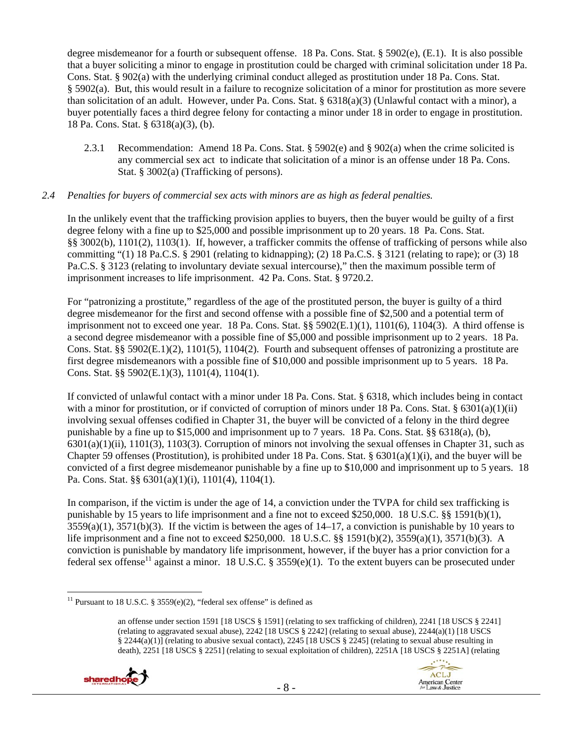degree misdemeanor for a fourth or subsequent offense. 18 Pa. Cons. Stat. § 5902(e), (E.1). It is also possible that a buyer soliciting a minor to engage in prostitution could be charged with criminal solicitation under 18 Pa. Cons. Stat. § 902(a) with the underlying criminal conduct alleged as prostitution under 18 Pa. Cons. Stat. § 5902(a). But, this would result in a failure to recognize solicitation of a minor for prostitution as more severe than solicitation of an adult. However, under Pa. Cons. Stat. § 6318(a)(3) (Unlawful contact with a minor), a buyer potentially faces a third degree felony for contacting a minor under 18 in order to engage in prostitution. 18 Pa. Cons. Stat. § 6318(a)(3), (b).

2.3.1 Recommendation: Amend 18 Pa. Cons. Stat. § 5902(e) and § 902(a) when the crime solicited is any commercial sex act to indicate that solicitation of a minor is an offense under 18 Pa. Cons. Stat. § 3002(a) (Trafficking of persons).

#### *2.4 Penalties for buyers of commercial sex acts with minors are as high as federal penalties.*

In the unlikely event that the trafficking provision applies to buyers, then the buyer would be guilty of a first degree felony with a fine up to \$25,000 and possible imprisonment up to 20 years. 18 Pa. Cons. Stat. §§ 3002(b), 1101(2), 1103(1). If, however, a trafficker commits the offense of trafficking of persons while also committing "(1) 18 Pa.C.S.  $\S 2901$  (relating to kidnapping); (2) 18 Pa.C.S.  $\S 3121$  (relating to rape); or (3) 18 Pa.C.S. § 3123 (relating to involuntary deviate sexual intercourse)," then the maximum possible term of imprisonment increases to life imprisonment. 42 Pa. Cons. Stat. § 9720.2.

For "patronizing a prostitute," regardless of the age of the prostituted person, the buyer is guilty of a third degree misdemeanor for the first and second offense with a possible fine of \$2,500 and a potential term of imprisonment not to exceed one year. 18 Pa. Cons. Stat. §§ 5902(E.1)(1), 1101(6), 1104(3). A third offense is a second degree misdemeanor with a possible fine of \$5,000 and possible imprisonment up to 2 years. 18 Pa. Cons. Stat. §§ 5902(E.1)(2), 1101(5), 1104(2). Fourth and subsequent offenses of patronizing a prostitute are first degree misdemeanors with a possible fine of \$10,000 and possible imprisonment up to 5 years. 18 Pa. Cons. Stat. §§ 5902(E.1)(3), 1101(4), 1104(1).

If convicted of unlawful contact with a minor under 18 Pa. Cons. Stat. § 6318, which includes being in contact with a minor for prostitution, or if convicted of corruption of minors under 18 Pa. Cons. Stat. §  $6301(a)(1)(ii)$ involving sexual offenses codified in Chapter 31, the buyer will be convicted of a felony in the third degree punishable by a fine up to \$15,000 and imprisonment up to 7 years. 18 Pa. Cons. Stat. §§ 6318(a), (b),  $6301(a)(1)(ii)$ ,  $1101(3)$ ,  $1103(3)$ . Corruption of minors not involving the sexual offenses in Chapter 31, such as Chapter 59 offenses (Prostitution), is prohibited under 18 Pa. Cons. Stat. § 6301(a)(1)(i), and the buyer will be convicted of a first degree misdemeanor punishable by a fine up to \$10,000 and imprisonment up to 5 years. 18 Pa. Cons. Stat. §§ 6301(a)(1)(i), 1101(4), 1104(1).

In comparison, if the victim is under the age of 14, a conviction under the TVPA for child sex trafficking is punishable by 15 years to life imprisonment and a fine not to exceed \$250,000. 18 U.S.C. §§ 1591(b)(1),  $3559(a)(1)$ ,  $3571(b)(3)$ . If the victim is between the ages of  $14-17$ , a conviction is punishable by 10 years to life imprisonment and a fine not to exceed \$250,000. 18 U.S.C. §§ 1591(b)(2), 3559(a)(1), 3571(b)(3). A conviction is punishable by mandatory life imprisonment, however, if the buyer has a prior conviction for a federal sex offense<sup>11</sup> against a minor. 18 U.S.C. § 3559(e)(1). To the extent buyers can be prosecuted under

an offense under section 1591 [18 USCS § 1591] (relating to sex trafficking of children), 2241 [18 USCS § 2241] (relating to aggravated sexual abuse), 2242 [18 USCS § 2242] (relating to sexual abuse), 2244(a)(1) [18 USCS § 2244(a)(1)] (relating to abusive sexual contact), 2245 [18 USCS § 2245] (relating to sexual abuse resulting in death), 2251 [18 USCS § 2251] (relating to sexual exploitation of children), 2251A [18 USCS § 2251A] (relating



 $\overline{a}$ <sup>11</sup> Pursuant to 18 U.S.C. § 3559(e)(2), "federal sex offense" is defined as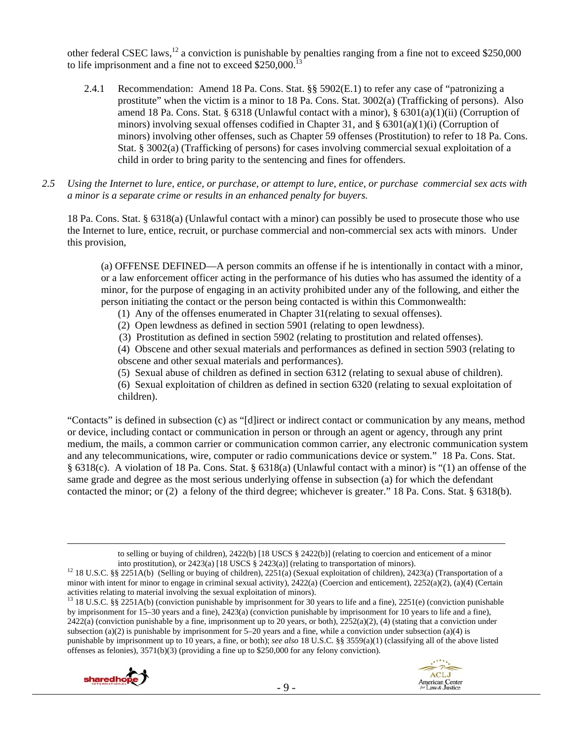other federal CSEC laws,12 a conviction is punishable by penalties ranging from a fine not to exceed \$250,000 to life imprisonment and a fine not to exceed  $$250,000$ <sup>13</sup>

- 2.4.1 Recommendation: Amend 18 Pa. Cons. Stat. §§ 5902(E.1) to refer any case of "patronizing a prostitute" when the victim is a minor to 18 Pa. Cons. Stat. 3002(a) (Trafficking of persons). Also amend 18 Pa. Cons. Stat. § 6318 (Unlawful contact with a minor), § 6301(a)(1)(ii) (Corruption of minors) involving sexual offenses codified in Chapter 31, and  $\S$  6301(a)(1)(i) (Corruption of minors) involving other offenses, such as Chapter 59 offenses (Prostitution) to refer to 18 Pa. Cons. Stat. § 3002(a) (Trafficking of persons) for cases involving commercial sexual exploitation of a child in order to bring parity to the sentencing and fines for offenders.
- *2.5 Using the Internet to lure, entice, or purchase, or attempt to lure, entice, or purchase commercial sex acts with a minor is a separate crime or results in an enhanced penalty for buyers.*

18 Pa. Cons. Stat. § 6318(a) (Unlawful contact with a minor) can possibly be used to prosecute those who use the Internet to lure, entice, recruit, or purchase commercial and non-commercial sex acts with minors. Under this provision,

(a) OFFENSE DEFINED—A person commits an offense if he is intentionally in contact with a minor, or a law enforcement officer acting in the performance of his duties who has assumed the identity of a minor, for the purpose of engaging in an activity prohibited under any of the following, and either the person initiating the contact or the person being contacted is within this Commonwealth:

- (1) Any of the offenses enumerated in Chapter 31(relating to sexual offenses).
- (2) Open lewdness as defined in section 5901 (relating to open lewdness).
- (3) Prostitution as defined in section 5902 (relating to prostitution and related offenses).

(4) Obscene and other sexual materials and performances as defined in section 5903 (relating to obscene and other sexual materials and performances).

(5) Sexual abuse of children as defined in section 6312 (relating to sexual abuse of children).

(6) Sexual exploitation of children as defined in section 6320 (relating to sexual exploitation of children).

"Contacts" is defined in subsection (c) as "[d]irect or indirect contact or communication by any means, method or device, including contact or communication in person or through an agent or agency, through any print medium, the mails, a common carrier or communication common carrier, any electronic communication system and any telecommunications, wire, computer or radio communications device or system." 18 Pa. Cons. Stat. § 6318(c). A violation of 18 Pa. Cons. Stat. § 6318(a) (Unlawful contact with a minor) is "(1) an offense of the same grade and degree as the most serious underlying offense in subsection (a) for which the defendant contacted the minor; or (2) a felony of the third degree; whichever is greater." 18 Pa. Cons. Stat. § 6318(b).

<sup>&</sup>lt;sup>13</sup> 18 U.S.C. §§ 2251A(b) (conviction punishable by imprisonment for 30 years to life and a fine), 2251(e) (conviction punishable by imprisonment for 15–30 years and a fine), 2423(a) (conviction punishable by imprisonment for 10 years to life and a fine),  $2422(a)$  (conviction punishable by a fine, imprisonment up to 20 years, or both),  $2252(a)(2)$ , (4) (stating that a conviction under subsection (a)(2) is punishable by imprisonment for  $5-20$  years and a fine, while a conviction under subsection (a)(4) is punishable by imprisonment up to 10 years, a fine, or both); *see also* 18 U.S.C. §§ 3559(a)(1) (classifying all of the above listed offenses as felonies), 3571(b)(3) (providing a fine up to \$250,000 for any felony conviction).





to selling or buying of children), 2422(b) [18 USCS § 2422(b)] (relating to coercion and enticement of a minor

into prostitution), or 2423(a) [18 USCS § 2423(a)] (relating to transportation of minors).<br><sup>12</sup> 18 U.S.C. §§ 2251A(b) (Selling or buying of children), 2251(a) (Sexual exploitation of children), 2423(a) (Transportation of a minor with intent for minor to engage in criminal sexual activity), 2422(a) (Coercion and enticement), 2252(a)(2), (a)(4) (Certain activities relating to material involving the sexual exploitation of minors).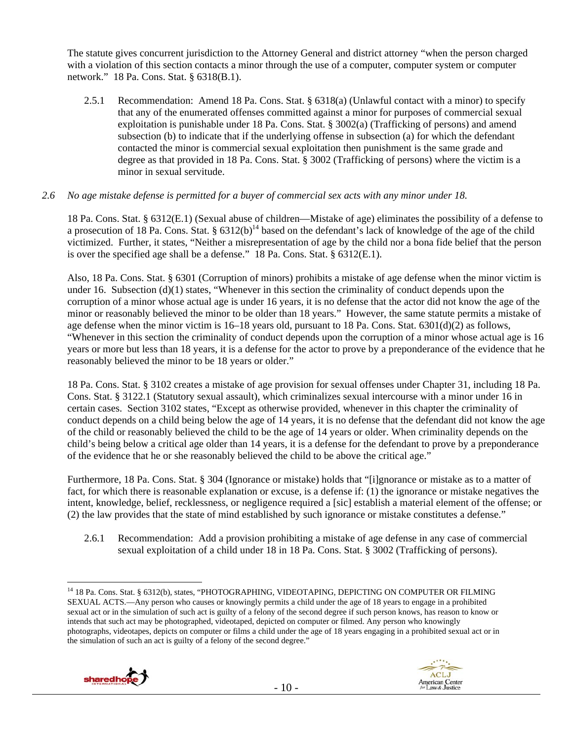The statute gives concurrent jurisdiction to the Attorney General and district attorney "when the person charged with a violation of this section contacts a minor through the use of a computer, computer system or computer network." 18 Pa. Cons. Stat. § 6318(B.1).

2.5.1 Recommendation: Amend 18 Pa. Cons. Stat. § 6318(a) (Unlawful contact with a minor) to specify that any of the enumerated offenses committed against a minor for purposes of commercial sexual exploitation is punishable under 18 Pa. Cons. Stat. § 3002(a) (Trafficking of persons) and amend subsection (b) to indicate that if the underlying offense in subsection (a) for which the defendant contacted the minor is commercial sexual exploitation then punishment is the same grade and degree as that provided in 18 Pa. Cons. Stat. § 3002 (Trafficking of persons) where the victim is a minor in sexual servitude.

## *2.6 No age mistake defense is permitted for a buyer of commercial sex acts with any minor under 18.*

18 Pa. Cons. Stat. § 6312(E.1) (Sexual abuse of children—Mistake of age) eliminates the possibility of a defense to a prosecution of 18 Pa. Cons. Stat.  $\S 6312(b)^{14}$  based on the defendant's lack of knowledge of the age of the child victimized. Further, it states, "Neither a misrepresentation of age by the child nor a bona fide belief that the person is over the specified age shall be a defense." 18 Pa. Cons. Stat. § 6312(E.1).

Also, 18 Pa. Cons. Stat. § 6301 (Corruption of minors) prohibits a mistake of age defense when the minor victim is under 16. Subsection  $(d)(1)$  states, "Whenever in this section the criminality of conduct depends upon the corruption of a minor whose actual age is under 16 years, it is no defense that the actor did not know the age of the minor or reasonably believed the minor to be older than 18 years." However, the same statute permits a mistake of age defense when the minor victim is 16–18 years old, pursuant to 18 Pa. Cons. Stat. 6301(d)(2) as follows, "Whenever in this section the criminality of conduct depends upon the corruption of a minor whose actual age is 16 years or more but less than 18 years, it is a defense for the actor to prove by a preponderance of the evidence that he reasonably believed the minor to be 18 years or older."

18 Pa. Cons. Stat. § 3102 creates a mistake of age provision for sexual offenses under Chapter 31, including 18 Pa. Cons. Stat. § 3122.1 (Statutory sexual assault), which criminalizes sexual intercourse with a minor under 16 in certain cases. Section 3102 states, "Except as otherwise provided, whenever in this chapter the criminality of conduct depends on a child being below the age of 14 years, it is no defense that the defendant did not know the age of the child or reasonably believed the child to be the age of 14 years or older. When criminality depends on the child's being below a critical age older than 14 years, it is a defense for the defendant to prove by a preponderance of the evidence that he or she reasonably believed the child to be above the critical age."

Furthermore, 18 Pa. Cons. Stat. § 304 (Ignorance or mistake) holds that "[i]gnorance or mistake as to a matter of fact, for which there is reasonable explanation or excuse, is a defense if: (1) the ignorance or mistake negatives the intent, knowledge, belief, recklessness, or negligence required a [sic] establish a material element of the offense; or (2) the law provides that the state of mind established by such ignorance or mistake constitutes a defense."

2.6.1 Recommendation: Add a provision prohibiting a mistake of age defense in any case of commercial sexual exploitation of a child under 18 in 18 Pa. Cons. Stat. § 3002 (Trafficking of persons).

<sup>14 18</sup> Pa. Cons. Stat. § 6312(b), states, "PHOTOGRAPHING, VIDEOTAPING, DEPICTING ON COMPUTER OR FILMING SEXUAL ACTS.—Any person who causes or knowingly permits a child under the age of 18 years to engage in a prohibited sexual act or in the simulation of such act is guilty of a felony of the second degree if such person knows, has reason to know or intends that such act may be photographed, videotaped, depicted on computer or filmed. Any person who knowingly photographs, videotapes, depicts on computer or films a child under the age of 18 years engaging in a prohibited sexual act or in the simulation of such an act is guilty of a felony of the second degree."



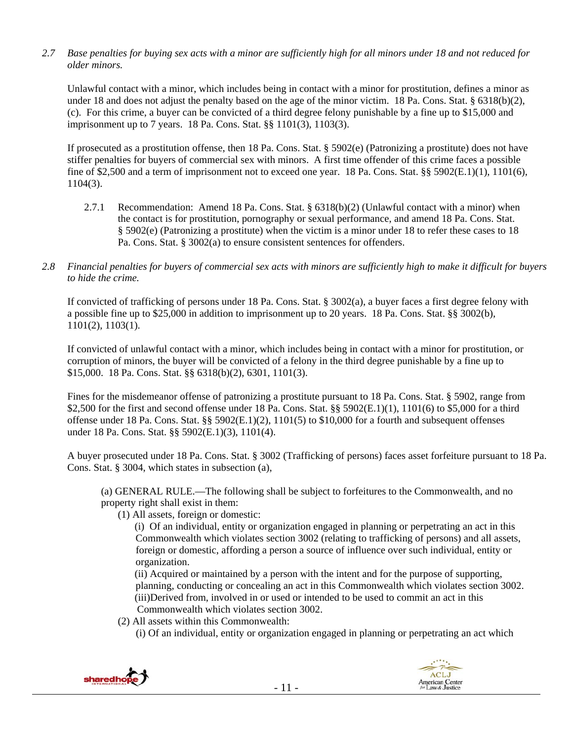*2.7 Base penalties for buying sex acts with a minor are sufficiently high for all minors under 18 and not reduced for older minors.* 

Unlawful contact with a minor, which includes being in contact with a minor for prostitution, defines a minor as under 18 and does not adjust the penalty based on the age of the minor victim. 18 Pa. Cons. Stat. § 6318(b)(2), (c). For this crime, a buyer can be convicted of a third degree felony punishable by a fine up to \$15,000 and imprisonment up to 7 years. 18 Pa. Cons. Stat. §§ 1101(3), 1103(3).

If prosecuted as a prostitution offense, then 18 Pa. Cons. Stat. § 5902(e) (Patronizing a prostitute) does not have stiffer penalties for buyers of commercial sex with minors. A first time offender of this crime faces a possible fine of \$2,500 and a term of imprisonment not to exceed one year. 18 Pa. Cons. Stat. §§ 5902(E.1)(1), 1101(6), 1104(3).

- 2.7.1 Recommendation: Amend 18 Pa. Cons. Stat. § 6318(b)(2) (Unlawful contact with a minor) when the contact is for prostitution, pornography or sexual performance, and amend 18 Pa. Cons. Stat. § 5902(e) (Patronizing a prostitute) when the victim is a minor under 18 to refer these cases to 18 Pa. Cons. Stat. § 3002(a) to ensure consistent sentences for offenders.
- *2.8 Financial penalties for buyers of commercial sex acts with minors are sufficiently high to make it difficult for buyers to hide the crime.*

If convicted of trafficking of persons under 18 Pa. Cons. Stat. § 3002(a), a buyer faces a first degree felony with a possible fine up to \$25,000 in addition to imprisonment up to 20 years. 18 Pa. Cons. Stat. §§ 3002(b), 1101(2), 1103(1).

If convicted of unlawful contact with a minor, which includes being in contact with a minor for prostitution, or corruption of minors, the buyer will be convicted of a felony in the third degree punishable by a fine up to \$15,000. 18 Pa. Cons. Stat. §§ 6318(b)(2), 6301, 1101(3).

Fines for the misdemeanor offense of patronizing a prostitute pursuant to 18 Pa. Cons. Stat. § 5902, range from \$2,500 for the first and second offense under 18 Pa. Cons. Stat. §§ 5902(E.1)(1), 1101(6) to \$5,000 for a third offense under 18 Pa. Cons. Stat.  $\S$  5902(E.1)(2), 1101(5) to \$10,000 for a fourth and subsequent offenses under 18 Pa. Cons. Stat. §§ 5902(E.1)(3), 1101(4).

A buyer prosecuted under 18 Pa. Cons. Stat. § 3002 (Trafficking of persons) faces asset forfeiture pursuant to 18 Pa. Cons. Stat. § 3004, which states in subsection (a),

(a) GENERAL RULE.—The following shall be subject to forfeitures to the Commonwealth, and no property right shall exist in them:

(1) All assets, foreign or domestic:

 (i) Of an individual, entity or organization engaged in planning or perpetrating an act in this Commonwealth which violates section 3002 (relating to trafficking of persons) and all assets, foreign or domestic, affording a person a source of influence over such individual, entity or organization.

 (ii) Acquired or maintained by a person with the intent and for the purpose of supporting, planning, conducting or concealing an act in this Commonwealth which violates section 3002. (iii)Derived from, involved in or used or intended to be used to commit an act in this Commonwealth which violates section 3002.

(2) All assets within this Commonwealth:

(i) Of an individual, entity or organization engaged in planning or perpetrating an act which



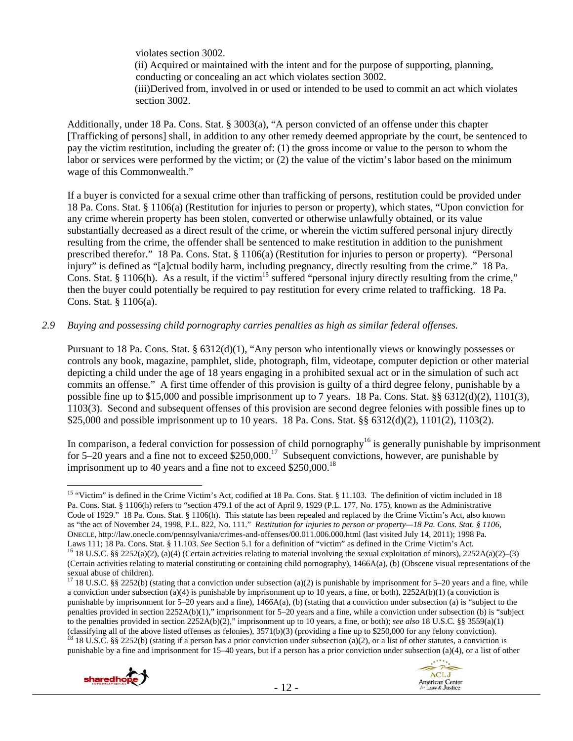violates section 3002.

 (ii) Acquired or maintained with the intent and for the purpose of supporting, planning, conducting or concealing an act which violates section 3002. (iii)Derived from, involved in or used or intended to be used to commit an act which violates section 3002.

Additionally, under 18 Pa. Cons. Stat. § 3003(a), "A person convicted of an offense under this chapter [Trafficking of persons] shall, in addition to any other remedy deemed appropriate by the court, be sentenced to pay the victim restitution, including the greater of: (1) the gross income or value to the person to whom the labor or services were performed by the victim; or (2) the value of the victim's labor based on the minimum wage of this Commonwealth."

If a buyer is convicted for a sexual crime other than trafficking of persons, restitution could be provided under 18 Pa. Cons. Stat. § 1106(a) (Restitution for injuries to person or property), which states, "Upon conviction for any crime wherein property has been stolen, converted or otherwise unlawfully obtained, or its value substantially decreased as a direct result of the crime, or wherein the victim suffered personal injury directly resulting from the crime, the offender shall be sentenced to make restitution in addition to the punishment prescribed therefor." 18 Pa. Cons. Stat. § 1106(a) (Restitution for injuries to person or property). "Personal injury" is defined as "[a]ctual bodily harm, including pregnancy, directly resulting from the crime." 18 Pa. Cons. Stat. § 1106(h). As a result, if the victim<sup>15</sup> suffered "personal injury directly resulting from the crime," then the buyer could potentially be required to pay restitution for every crime related to trafficking. 18 Pa. Cons. Stat. § 1106(a).

# *2.9 Buying and possessing child pornography carries penalties as high as similar federal offenses.*

Pursuant to 18 Pa. Cons. Stat. § 6312(d)(1), "Any person who intentionally views or knowingly possesses or controls any book, magazine, pamphlet, slide, photograph, film, videotape, computer depiction or other material depicting a child under the age of 18 years engaging in a prohibited sexual act or in the simulation of such act commits an offense." A first time offender of this provision is guilty of a third degree felony, punishable by a possible fine up to \$15,000 and possible imprisonment up to 7 years. 18 Pa. Cons. Stat. §§ 6312(d)(2), 1101(3), 1103(3). Second and subsequent offenses of this provision are second degree felonies with possible fines up to \$25,000 and possible imprisonment up to 10 years. 18 Pa. Cons. Stat. §§ 6312(d)(2), 1101(2), 1103(2).

In comparison, a federal conviction for possession of child pornography<sup>16</sup> is generally punishable by imprisonment for 5–20 years and a fine not to exceed  $$250,000$ .<sup>17</sup> Subsequent convictions, however, are punishable by imprisonment up to 40 years and a fine not to exceed  $$250,000$ .<sup>18</sup>

<sup>&</sup>lt;sup>17</sup> 18 U.S.C. §§ 2252(b) (stating that a conviction under subsection (a)(2) is punishable by imprisonment for 5–20 years and a fine, while a conviction under subsection (a)(4) is punishable by imprisonment up to 10 years, a fine, or both),  $2252A(b)(1)$  (a conviction is punishable by imprisonment for 5–20 years and a fine), 1466A(a), (b) (stating that a conviction under subsection (a) is "subject to the penalties provided in section 2252A(b)(1)," imprisonment for 5–20 years and a fine, while a conviction under subsection (b) is "subject to the penalties provided in section 2252A(b)(2)," imprisonment up to 10 years, a fine, or both); *see also* 18 U.S.C. §§ 3559(a)(1) (classifying all of the above listed offenses as felonies), 3571(b)(3) (providing a fine up to \$250,000 for any felony conviction).<br><sup>18</sup> 18 U.S.C. §§ 2252(b) (stating if a person has a prior conviction under subsection (a punishable by a fine and imprisonment for 15–40 years, but if a person has a prior conviction under subsection (a)(4), or a list of other



<sup>&</sup>lt;sup>15</sup> "Victim" is defined in the Crime Victim's Act, codified at 18 Pa. Cons. Stat. § 11.103. The definition of victim included in 18 Pa. Cons. Stat. § 1106(h) refers to "section 479.1 of the act of April 9, 1929 (P.L. 177, No. 175), known as the Administrative Code of 1929." 18 Pa. Cons. Stat. § 1106(h). This statute has been repealed and replaced by the Crime Victim's Act, also known as "the act of November 24, 1998, P.L. 822, No. 111." *Restitution for injuries to person or property—18 Pa. Cons. Stat. § 1106*, ONECLE, http://law.onecle.com/pennsylvania/crimes-and-offenses/00.011.006.000.html (last visited July 14, 2011); 1998 Pa. Laws 111; 18 Pa. Cons. Stat. § 11.103. See Section 5.1 for a definition of "victim" as defined in the Crime Victim's Act.<br><sup>16</sup> 18 U.S.C. §§ 2252(a)(2), (a)(4) (Certain activities relating to material involving the sexual (Certain activities relating to material constituting or containing child pornography), 1466A(a), (b) (Obscene visual representations of the

sexual abuse of children).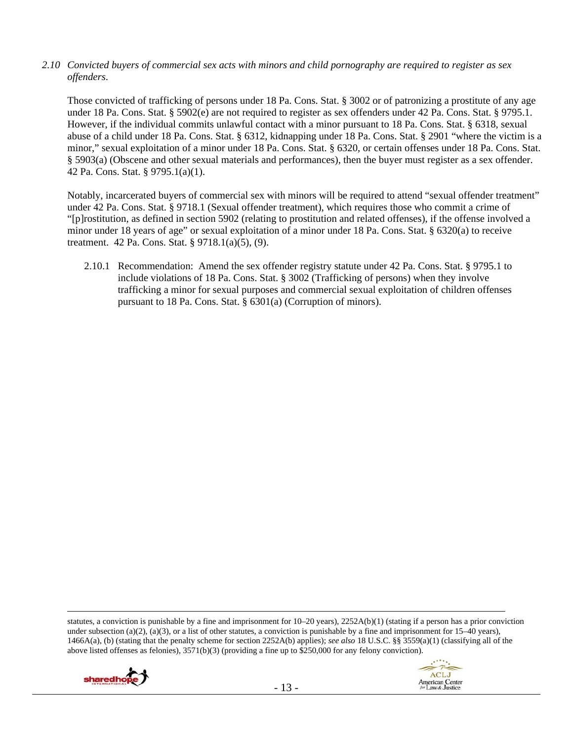*2.10 Convicted buyers of commercial sex acts with minors and child pornography are required to register as sex offenders*.

Those convicted of trafficking of persons under 18 Pa. Cons. Stat. § 3002 or of patronizing a prostitute of any age under 18 Pa. Cons. Stat. § 5902(e) are not required to register as sex offenders under 42 Pa. Cons. Stat. § 9795.1. However, if the individual commits unlawful contact with a minor pursuant to 18 Pa. Cons. Stat. § 6318, sexual abuse of a child under 18 Pa. Cons. Stat. § 6312, kidnapping under 18 Pa. Cons. Stat. § 2901 "where the victim is a minor," sexual exploitation of a minor under 18 Pa. Cons. Stat. § 6320, or certain offenses under 18 Pa. Cons. Stat. § 5903(a) (Obscene and other sexual materials and performances), then the buyer must register as a sex offender. 42 Pa. Cons. Stat. § 9795.1(a)(1).

Notably, incarcerated buyers of commercial sex with minors will be required to attend "sexual offender treatment" under 42 Pa. Cons. Stat. § 9718.1 (Sexual offender treatment), which requires those who commit a crime of "[p]rostitution, as defined in section 5902 (relating to prostitution and related offenses), if the offense involved a minor under 18 years of age" or sexual exploitation of a minor under 18 Pa. Cons. Stat. § 6320(a) to receive treatment. 42 Pa. Cons. Stat. § 9718.1(a)(5), (9).

2.10.1 Recommendation: Amend the sex offender registry statute under 42 Pa. Cons. Stat. § 9795.1 to include violations of 18 Pa. Cons. Stat. § 3002 (Trafficking of persons) when they involve trafficking a minor for sexual purposes and commercial sexual exploitation of children offenses pursuant to 18 Pa. Cons. Stat. § 6301(a) (Corruption of minors).

 statutes, a conviction is punishable by a fine and imprisonment for 10–20 years), 2252A(b)(1) (stating if a person has a prior conviction under subsection (a)(2), (a)(3), or a list of other statutes, a conviction is punishable by a fine and imprisonment for  $15-40$  years), 1466A(a), (b) (stating that the penalty scheme for section 2252A(b) applies); *see also* 18 U.S.C. §§ 3559(a)(1) (classifying all of the above listed offenses as felonies),  $3571(b)(3)$  (providing a fine up to \$250,000 for any felony conviction).



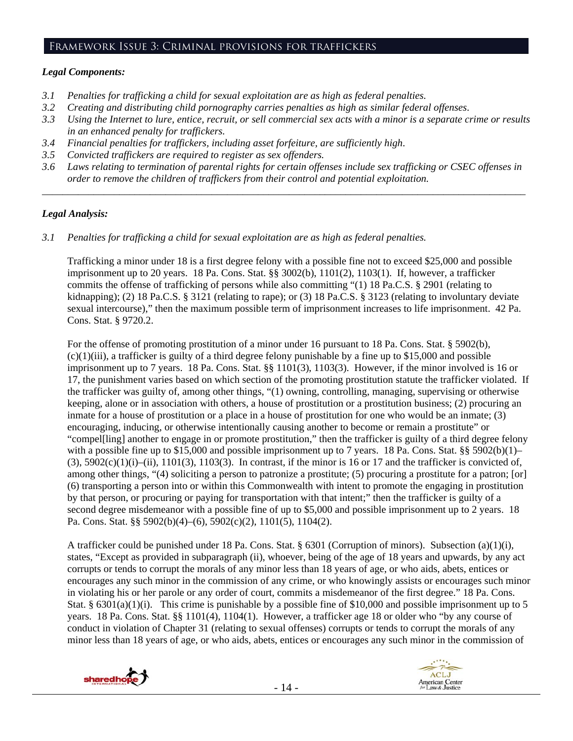# Framework Issue 3: Criminal provisions for traffickers

#### *Legal Components:*

- *3.1 Penalties for trafficking a child for sexual exploitation are as high as federal penalties.*
- *3.2 Creating and distributing child pornography carries penalties as high as similar federal offenses*.
- *3.3 Using the Internet to lure, entice, recruit, or sell commercial sex acts with a minor is a separate crime or results in an enhanced penalty for traffickers.*
- *3.4 Financial penalties for traffickers, including asset forfeiture, are sufficiently high*.
- *3.5 Convicted traffickers are required to register as sex offenders.*
- *3.6 Laws relating to termination of parental rights for certain offenses include sex trafficking or CSEC offenses in order to remove the children of traffickers from their control and potential exploitation.*

*\_\_\_\_\_\_\_\_\_\_\_\_\_\_\_\_\_\_\_\_\_\_\_\_\_\_\_\_\_\_\_\_\_\_\_\_\_\_\_\_\_\_\_\_\_\_\_\_\_\_\_\_\_\_\_\_\_\_\_\_\_\_\_\_\_\_\_\_\_\_\_\_\_\_\_\_\_\_\_\_\_\_\_\_\_\_\_\_\_\_\_\_\_\_* 

#### *Legal Analysis:*

*3.1 Penalties for trafficking a child for sexual exploitation are as high as federal penalties.* 

Trafficking a minor under 18 is a first degree felony with a possible fine not to exceed \$25,000 and possible imprisonment up to 20 years. 18 Pa. Cons. Stat. §§ 3002(b), 1101(2), 1103(1). If, however, a trafficker commits the offense of trafficking of persons while also committing "(1) 18 Pa.C.S. § 2901 (relating to kidnapping); (2) 18 Pa.C.S. § 3121 (relating to rape); or (3) 18 Pa.C.S. § 3123 (relating to involuntary deviate sexual intercourse)," then the maximum possible term of imprisonment increases to life imprisonment. 42 Pa. Cons. Stat. § 9720.2.

For the offense of promoting prostitution of a minor under 16 pursuant to 18 Pa. Cons. Stat. § 5902(b),  $(c)(1)(iii)$ , a trafficker is guilty of a third degree felony punishable by a fine up to \$15,000 and possible imprisonment up to 7 years. 18 Pa. Cons. Stat. §§ 1101(3), 1103(3). However, if the minor involved is 16 or 17, the punishment varies based on which section of the promoting prostitution statute the trafficker violated. If the trafficker was guilty of, among other things, "(1) owning, controlling, managing, supervising or otherwise keeping, alone or in association with others, a house of prostitution or a prostitution business; (2) procuring an inmate for a house of prostitution or a place in a house of prostitution for one who would be an inmate; (3) encouraging, inducing, or otherwise intentionally causing another to become or remain a prostitute" or "compel[ling] another to engage in or promote prostitution," then the trafficker is guilty of a third degree felony with a possible fine up to \$15,000 and possible imprisonment up to 7 years. 18 Pa. Cons. Stat. §§ 5902(b)(1)–  $(3)$ ,  $5902(c)(1)(i)$ –(ii),  $1101(3)$ ,  $1103(3)$ . In contrast, if the minor is 16 or 17 and the trafficker is convicted of, among other things, "(4) soliciting a person to patronize a prostitute; (5) procuring a prostitute for a patron; [or] (6) transporting a person into or within this Commonwealth with intent to promote the engaging in prostitution by that person, or procuring or paying for transportation with that intent;" then the trafficker is guilty of a second degree misdemeanor with a possible fine of up to \$5,000 and possible imprisonment up to 2 years. 18 Pa. Cons. Stat. §§ 5902(b)(4)–(6), 5902(c)(2), 1101(5), 1104(2).

A trafficker could be punished under 18 Pa. Cons. Stat. § 6301 (Corruption of minors). Subsection (a)(1)(i), states, "Except as provided in subparagraph (ii), whoever, being of the age of 18 years and upwards, by any act corrupts or tends to corrupt the morals of any minor less than 18 years of age, or who aids, abets, entices or encourages any such minor in the commission of any crime, or who knowingly assists or encourages such minor in violating his or her parole or any order of court, commits a misdemeanor of the first degree." 18 Pa. Cons. Stat. §  $6301(a)(1)(i)$ . This crime is punishable by a possible fine of \$10,000 and possible imprisonment up to 5 years. 18 Pa. Cons. Stat. §§ 1101(4), 1104(1). However, a trafficker age 18 or older who "by any course of conduct in violation of Chapter 31 (relating to sexual offenses) corrupts or tends to corrupt the morals of any minor less than 18 years of age, or who aids, abets, entices or encourages any such minor in the commission of



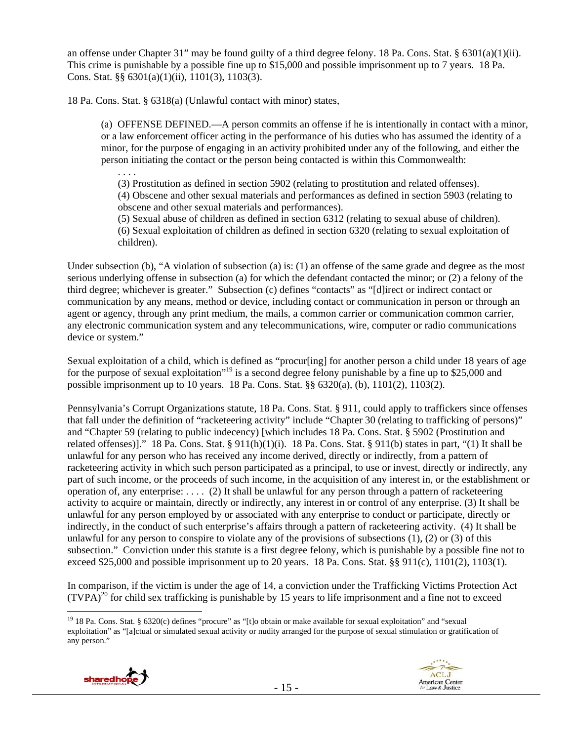an offense under Chapter 31" may be found guilty of a third degree felony. 18 Pa. Cons. Stat. §  $6301(a)(1)(ii)$ . This crime is punishable by a possible fine up to \$15,000 and possible imprisonment up to 7 years. 18 Pa. Cons. Stat. §§ 6301(a)(1)(ii), 1101(3), 1103(3).

18 Pa. Cons. Stat. § 6318(a) (Unlawful contact with minor) states,

. . . .

(a) OFFENSE DEFINED.—A person commits an offense if he is intentionally in contact with a minor, or a law enforcement officer acting in the performance of his duties who has assumed the identity of a minor, for the purpose of engaging in an activity prohibited under any of the following, and either the person initiating the contact or the person being contacted is within this Commonwealth:

(3) Prostitution as defined in section 5902 (relating to prostitution and related offenses).

(4) Obscene and other sexual materials and performances as defined in section 5903 (relating to obscene and other sexual materials and performances).

(5) Sexual abuse of children as defined in section 6312 (relating to sexual abuse of children). (6) Sexual exploitation of children as defined in section 6320 (relating to sexual exploitation of children).

Under subsection (b), "A violation of subsection (a) is: (1) an offense of the same grade and degree as the most serious underlying offense in subsection (a) for which the defendant contacted the minor; or (2) a felony of the third degree; whichever is greater." Subsection (c) defines "contacts" as "[d]irect or indirect contact or communication by any means, method or device, including contact or communication in person or through an agent or agency, through any print medium, the mails, a common carrier or communication common carrier, any electronic communication system and any telecommunications, wire, computer or radio communications device or system."

Sexual exploitation of a child, which is defined as "procur[ing] for another person a child under 18 years of age for the purpose of sexual exploitation"<sup>19</sup> is a second degree felony punishable by a fine up to \$25,000 and possible imprisonment up to 10 years. 18 Pa. Cons. Stat. §§ 6320(a), (b), 1101(2), 1103(2).

Pennsylvania's Corrupt Organizations statute, 18 Pa. Cons. Stat. § 911, could apply to traffickers since offenses that fall under the definition of "racketeering activity" include "Chapter 30 (relating to trafficking of persons)" and "Chapter 59 (relating to public indecency) [which includes 18 Pa. Cons. Stat. § 5902 (Prostitution and related offenses)]." 18 Pa. Cons. Stat. §  $911(h)(1)(i)$ . 18 Pa. Cons. Stat. §  $911(b)$  states in part, "(1) It shall be unlawful for any person who has received any income derived, directly or indirectly, from a pattern of racketeering activity in which such person participated as a principal, to use or invest, directly or indirectly, any part of such income, or the proceeds of such income, in the acquisition of any interest in, or the establishment or operation of, any enterprise: ... . (2) It shall be unlawful for any person through a pattern of racketeering activity to acquire or maintain, directly or indirectly, any interest in or control of any enterprise. (3) It shall be unlawful for any person employed by or associated with any enterprise to conduct or participate, directly or indirectly, in the conduct of such enterprise's affairs through a pattern of racketeering activity. (4) It shall be unlawful for any person to conspire to violate any of the provisions of subsections (1), (2) or (3) of this subsection." Conviction under this statute is a first degree felony, which is punishable by a possible fine not to exceed \$25,000 and possible imprisonment up to 20 years. 18 Pa. Cons. Stat. §§ 911(c), 1101(2), 1103(1).

In comparison, if the victim is under the age of 14, a conviction under the Trafficking Victims Protection Act  $(TVPA)^{20}$  for child sex trafficking is punishable by 15 years to life imprisonment and a fine not to exceed

<sup>&</sup>lt;sup>19</sup> 18 Pa. Cons. Stat. § 6320(c) defines "procure" as "[t]o obtain or make available for sexual exploitation" and "sexual exploitation" as "[a]ctual or simulated sexual activity or nudity arranged for the purpose of sexual stimulation or gratification of any person."



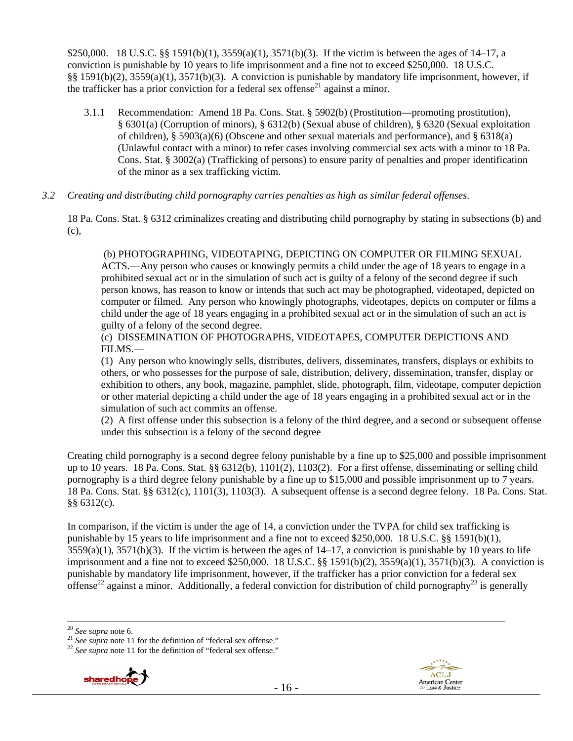\$250,000. 18 U.S.C. §§ 1591(b)(1), 3559(a)(1), 3571(b)(3). If the victim is between the ages of 14–17, a conviction is punishable by 10 years to life imprisonment and a fine not to exceed \$250,000. 18 U.S.C. §§ 1591(b)(2), 3559(a)(1), 3571(b)(3). A conviction is punishable by mandatory life imprisonment, however, if the trafficker has a prior conviction for a federal sex offense<sup>21</sup> against a minor.

3.1.1 Recommendation: Amend 18 Pa. Cons. Stat. § 5902(b) (Prostitution—promoting prostitution), § 6301(a) (Corruption of minors), § 6312(b) (Sexual abuse of children), § 6320 (Sexual exploitation of children), § 5903(a)(6) (Obscene and other sexual materials and performance), and § 6318(a) (Unlawful contact with a minor) to refer cases involving commercial sex acts with a minor to 18 Pa. Cons. Stat. § 3002(a) (Trafficking of persons) to ensure parity of penalties and proper identification of the minor as a sex trafficking victim.

#### *3.2 Creating and distributing child pornography carries penalties as high as similar federal offenses*.

18 Pa. Cons. Stat. § 6312 criminalizes creating and distributing child pornography by stating in subsections (b) and (c),

 (b) PHOTOGRAPHING, VIDEOTAPING, DEPICTING ON COMPUTER OR FILMING SEXUAL ACTS.—Any person who causes or knowingly permits a child under the age of 18 years to engage in a prohibited sexual act or in the simulation of such act is guilty of a felony of the second degree if such person knows, has reason to know or intends that such act may be photographed, videotaped, depicted on computer or filmed. Any person who knowingly photographs, videotapes, depicts on computer or films a child under the age of 18 years engaging in a prohibited sexual act or in the simulation of such an act is guilty of a felony of the second degree.

(c) DISSEMINATION OF PHOTOGRAPHS, VIDEOTAPES, COMPUTER DEPICTIONS AND FILMS.—

(1) Any person who knowingly sells, distributes, delivers, disseminates, transfers, displays or exhibits to others, or who possesses for the purpose of sale, distribution, delivery, dissemination, transfer, display or exhibition to others, any book, magazine, pamphlet, slide, photograph, film, videotape, computer depiction or other material depicting a child under the age of 18 years engaging in a prohibited sexual act or in the simulation of such act commits an offense.

(2) A first offense under this subsection is a felony of the third degree, and a second or subsequent offense under this subsection is a felony of the second degree

Creating child pornography is a second degree felony punishable by a fine up to \$25,000 and possible imprisonment up to 10 years. 18 Pa. Cons. Stat. §§ 6312(b), 1101(2), 1103(2). For a first offense, disseminating or selling child pornography is a third degree felony punishable by a fine up to \$15,000 and possible imprisonment up to 7 years. 18 Pa. Cons. Stat. §§ 6312(c), 1101(3), 1103(3). A subsequent offense is a second degree felony. 18 Pa. Cons. Stat. §§ 6312(c).

In comparison, if the victim is under the age of 14, a conviction under the TVPA for child sex trafficking is punishable by 15 years to life imprisonment and a fine not to exceed \$250,000. 18 U.S.C. §§ 1591(b)(1),  $3559(a)(1)$ ,  $3571(b)(3)$ . If the victim is between the ages of  $14-17$ , a conviction is punishable by 10 years to life imprisonment and a fine not to exceed \$250,000. 18 U.S.C.  $\S$  1591(b)(2), 3559(a)(1), 3571(b)(3). A conviction is punishable by mandatory life imprisonment, however, if the trafficker has a prior conviction for a federal sex offense<sup>22</sup> against a minor. Additionally, a federal conviction for distribution of child pornography<sup>23</sup> is generally





<sup>20</sup> *See supra* note 6. 21 *See supra* note 11 for the definition of "federal sex offense." 22 *See supra* note 11 for the definition of "federal sex offense."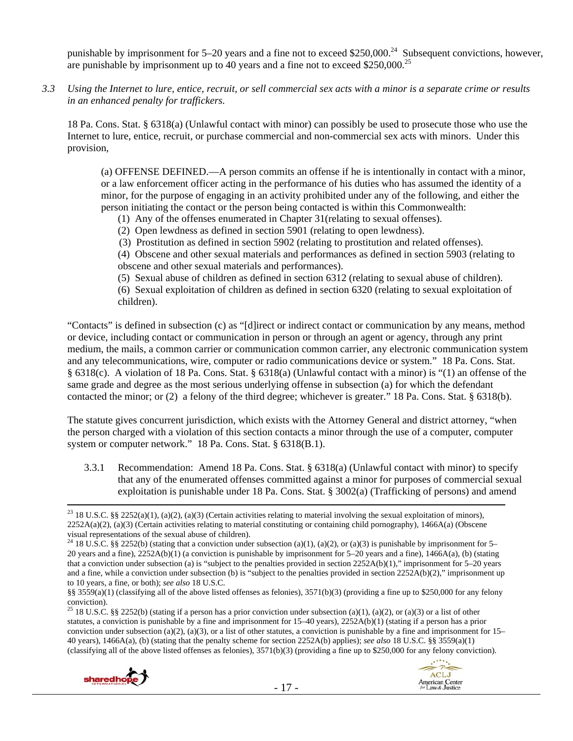punishable by imprisonment for  $5-20$  years and a fine not to exceed \$250,000.<sup>24</sup> Subsequent convictions, however, are punishable by imprisonment up to 40 years and a fine not to exceed \$250,000.<sup>25</sup>

*3.3 Using the Internet to lure, entice, recruit, or sell commercial sex acts with a minor is a separate crime or results in an enhanced penalty for traffickers.* 

18 Pa. Cons. Stat. § 6318(a) (Unlawful contact with minor) can possibly be used to prosecute those who use the Internet to lure, entice, recruit, or purchase commercial and non-commercial sex acts with minors. Under this provision,

(a) OFFENSE DEFINED.—A person commits an offense if he is intentionally in contact with a minor, or a law enforcement officer acting in the performance of his duties who has assumed the identity of a minor, for the purpose of engaging in an activity prohibited under any of the following, and either the person initiating the contact or the person being contacted is within this Commonwealth:

- (1) Any of the offenses enumerated in Chapter 31(relating to sexual offenses).
- (2) Open lewdness as defined in section 5901 (relating to open lewdness).
- (3) Prostitution as defined in section 5902 (relating to prostitution and related offenses).

(4) Obscene and other sexual materials and performances as defined in section 5903 (relating to obscene and other sexual materials and performances).

(5) Sexual abuse of children as defined in section 6312 (relating to sexual abuse of children).

(6) Sexual exploitation of children as defined in section 6320 (relating to sexual exploitation of children).

"Contacts" is defined in subsection (c) as "[d]irect or indirect contact or communication by any means, method or device, including contact or communication in person or through an agent or agency, through any print medium, the mails, a common carrier or communication common carrier, any electronic communication system and any telecommunications, wire, computer or radio communications device or system." 18 Pa. Cons. Stat. § 6318(c). A violation of 18 Pa. Cons. Stat. § 6318(a) (Unlawful contact with a minor) is "(1) an offense of the same grade and degree as the most serious underlying offense in subsection (a) for which the defendant contacted the minor; or (2) a felony of the third degree; whichever is greater." 18 Pa. Cons. Stat. § 6318(b).

The statute gives concurrent jurisdiction, which exists with the Attorney General and district attorney, "when the person charged with a violation of this section contacts a minor through the use of a computer, computer system or computer network." 18 Pa. Cons. Stat. § 6318(B.1).

3.3.1 Recommendation: Amend 18 Pa. Cons. Stat. § 6318(a) (Unlawful contact with minor) to specify that any of the enumerated offenses committed against a minor for purposes of commercial sexual exploitation is punishable under 18 Pa. Cons. Stat. § 3002(a) (Trafficking of persons) and amend

<sup>&</sup>lt;sup>25</sup> 18 U.S.C. §§ 2252(b) (stating if a person has a prior conviction under subsection (a)(1), (a)(2), or (a)(3) or a list of other statutes, a conviction is punishable by a fine and imprisonment for 15–40 years), 2252A(b)(1) (stating if a person has a prior conviction under subsection (a)(2), (a)(3), or a list of other statutes, a conviction is punishable by a fine and imprisonment for  $15-$ 40 years), 1466A(a), (b) (stating that the penalty scheme for section 2252A(b) applies); *see also* 18 U.S.C. §§ 3559(a)(1) (classifying all of the above listed offenses as felonies),  $3571(b)(3)$  (providing a fine up to \$250,000 for any felony conviction).





<sup>&</sup>lt;sup>23</sup> 18 U.S.C. §§ 2252(a)(1), (a)(2), (a)(3) (Certain activities relating to material involving the sexual exploitation of minors), 2252A(a)(2), (a)(3) (Certain activities relating to material constituting or containing child pornography), 1466A(a) (Obscene visual representations of the sexual abuse of children).

<sup>&</sup>lt;sup>24</sup> 18 U.S.C. §§ 2252(b) (stating that a conviction under subsection (a)(1), (a)(2), or (a)(3) is punishable by imprisonment for 5– 20 years and a fine), 2252A(b)(1) (a conviction is punishable by imprisonment for 5–20 years and a fine), 1466A(a), (b) (stating that a conviction under subsection (a) is "subject to the penalties provided in section  $2252A(b)(1)$ ," imprisonment for 5–20 years and a fine, while a conviction under subsection (b) is "subject to the penalties provided in section 2252A(b)(2)," imprisonment up to 10 years, a fine, or both); *see also* 18 U.S.C.

<sup>§§ 3559(</sup>a)(1) (classifying all of the above listed offenses as felonies), 3571(b)(3) (providing a fine up to \$250,000 for any felony conviction).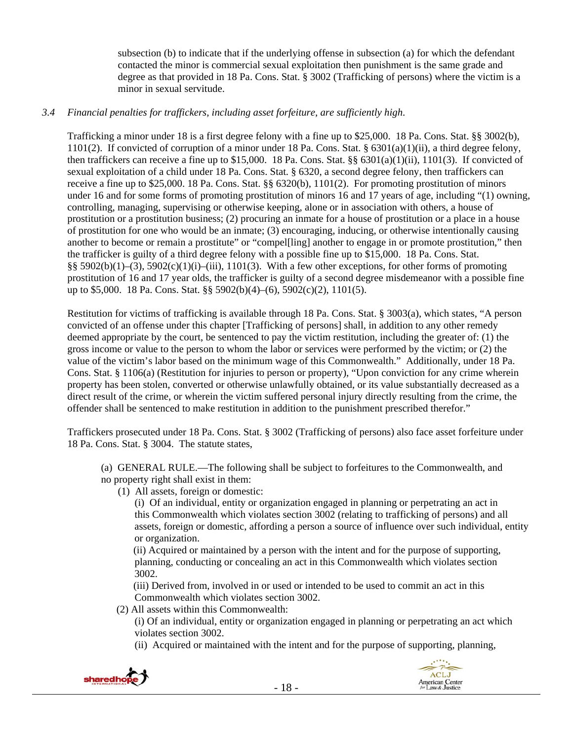subsection (b) to indicate that if the underlying offense in subsection (a) for which the defendant contacted the minor is commercial sexual exploitation then punishment is the same grade and degree as that provided in 18 Pa. Cons. Stat. § 3002 (Trafficking of persons) where the victim is a minor in sexual servitude.

## *3.4 Financial penalties for traffickers, including asset forfeiture, are sufficiently high*.

Trafficking a minor under 18 is a first degree felony with a fine up to \$25,000. 18 Pa. Cons. Stat. §§ 3002(b), 1101(2). If convicted of corruption of a minor under 18 Pa. Cons. Stat.  $\S 6301(a)(1)(ii)$ , a third degree felony, then traffickers can receive a fine up to \$15,000. 18 Pa. Cons. Stat. §§ 6301(a)(1)(ii), 1101(3). If convicted of sexual exploitation of a child under 18 Pa. Cons. Stat. § 6320, a second degree felony, then traffickers can receive a fine up to \$25,000. 18 Pa. Cons. Stat. §§ 6320(b), 1101(2). For promoting prostitution of minors under 16 and for some forms of promoting prostitution of minors 16 and 17 years of age, including "(1) owning, controlling, managing, supervising or otherwise keeping, alone or in association with others, a house of prostitution or a prostitution business; (2) procuring an inmate for a house of prostitution or a place in a house of prostitution for one who would be an inmate; (3) encouraging, inducing, or otherwise intentionally causing another to become or remain a prostitute" or "compel[ling] another to engage in or promote prostitution," then the trafficker is guilty of a third degree felony with a possible fine up to \$15,000. 18 Pa. Cons. Stat. §§ 5902(b)(1)–(3), 5902(c)(1)(i)–(iii), 1101(3). With a few other exceptions, for other forms of promoting prostitution of 16 and 17 year olds, the trafficker is guilty of a second degree misdemeanor with a possible fine up to \$5,000. 18 Pa. Cons. Stat. §§ 5902(b)(4)–(6), 5902(c)(2), 1101(5).

Restitution for victims of trafficking is available through 18 Pa. Cons. Stat. § 3003(a), which states, "A person convicted of an offense under this chapter [Trafficking of persons] shall, in addition to any other remedy deemed appropriate by the court, be sentenced to pay the victim restitution, including the greater of: (1) the gross income or value to the person to whom the labor or services were performed by the victim; or (2) the value of the victim's labor based on the minimum wage of this Commonwealth." Additionally, under 18 Pa. Cons. Stat. § 1106(a) (Restitution for injuries to person or property), "Upon conviction for any crime wherein property has been stolen, converted or otherwise unlawfully obtained, or its value substantially decreased as a direct result of the crime, or wherein the victim suffered personal injury directly resulting from the crime, the offender shall be sentenced to make restitution in addition to the punishment prescribed therefor."

Traffickers prosecuted under 18 Pa. Cons. Stat. § 3002 (Trafficking of persons) also face asset forfeiture under 18 Pa. Cons. Stat. § 3004. The statute states,

 (a) GENERAL RULE.—The following shall be subject to forfeitures to the Commonwealth, and no property right shall exist in them:

(1) All assets, foreign or domestic:

 (i) Of an individual, entity or organization engaged in planning or perpetrating an act in this Commonwealth which violates section 3002 (relating to trafficking of persons) and all assets, foreign or domestic, affording a person a source of influence over such individual, entity or organization.

 (ii) Acquired or maintained by a person with the intent and for the purpose of supporting, planning, conducting or concealing an act in this Commonwealth which violates section 3002.

 (iii) Derived from, involved in or used or intended to be used to commit an act in this Commonwealth which violates section 3002.

(2) All assets within this Commonwealth:

 (i) Of an individual, entity or organization engaged in planning or perpetrating an act which violates section 3002.

(ii) Acquired or maintained with the intent and for the purpose of supporting, planning,



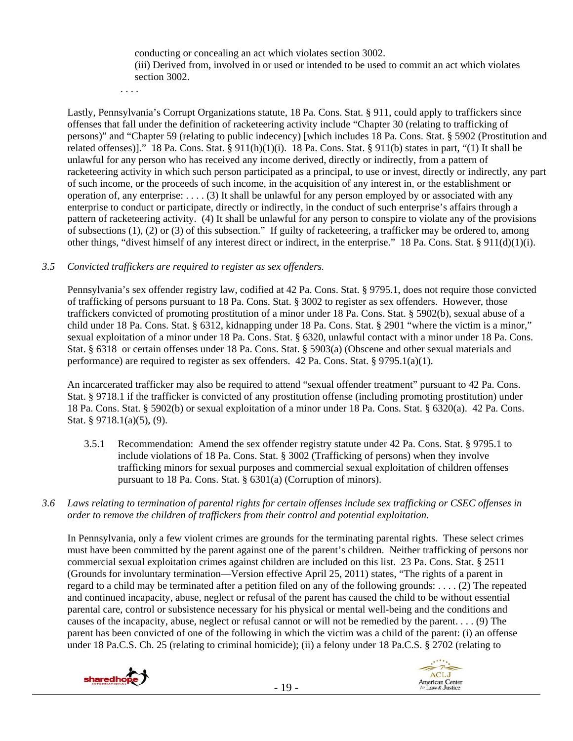conducting or concealing an act which violates section 3002. (iii) Derived from, involved in or used or intended to be used to commit an act which violates section 3002.

. . . .

Lastly, Pennsylvania's Corrupt Organizations statute, 18 Pa. Cons. Stat. § 911, could apply to traffickers since offenses that fall under the definition of racketeering activity include "Chapter 30 (relating to trafficking of persons)" and "Chapter 59 (relating to public indecency) [which includes 18 Pa. Cons. Stat. § 5902 (Prostitution and related offenses)]." 18 Pa. Cons. Stat. § 911(h)(1)(i). 18 Pa. Cons. Stat. § 911(b) states in part, "(1) It shall be unlawful for any person who has received any income derived, directly or indirectly, from a pattern of racketeering activity in which such person participated as a principal, to use or invest, directly or indirectly, any part of such income, or the proceeds of such income, in the acquisition of any interest in, or the establishment or operation of, any enterprise:  $\dots$  . (3) It shall be unlawful for any person employed by or associated with any enterprise to conduct or participate, directly or indirectly, in the conduct of such enterprise's affairs through a pattern of racketeering activity. (4) It shall be unlawful for any person to conspire to violate any of the provisions of subsections (1), (2) or (3) of this subsection." If guilty of racketeering, a trafficker may be ordered to, among other things, "divest himself of any interest direct or indirect, in the enterprise." 18 Pa. Cons. Stat. § 911(d)(1)(i).

## *3.5 Convicted traffickers are required to register as sex offenders.*

Pennsylvania's sex offender registry law, codified at 42 Pa. Cons. Stat. § 9795.1, does not require those convicted of trafficking of persons pursuant to 18 Pa. Cons. Stat. § 3002 to register as sex offenders. However, those traffickers convicted of promoting prostitution of a minor under 18 Pa. Cons. Stat. § 5902(b), sexual abuse of a child under 18 Pa. Cons. Stat. § 6312, kidnapping under 18 Pa. Cons. Stat. § 2901 "where the victim is a minor," sexual exploitation of a minor under 18 Pa. Cons. Stat. § 6320, unlawful contact with a minor under 18 Pa. Cons. Stat. § 6318 or certain offenses under 18 Pa. Cons. Stat. § 5903(a) (Obscene and other sexual materials and performance) are required to register as sex offenders.  $42$  Pa. Cons. Stat. § 9795.1(a)(1).

An incarcerated trafficker may also be required to attend "sexual offender treatment" pursuant to 42 Pa. Cons. Stat. § 9718.1 if the trafficker is convicted of any prostitution offense (including promoting prostitution) under 18 Pa. Cons. Stat. § 5902(b) or sexual exploitation of a minor under 18 Pa. Cons. Stat. § 6320(a). 42 Pa. Cons. Stat. § 9718.1(a)(5), (9).

- 3.5.1 Recommendation: Amend the sex offender registry statute under 42 Pa. Cons. Stat. § 9795.1 to include violations of 18 Pa. Cons. Stat. § 3002 (Trafficking of persons) when they involve trafficking minors for sexual purposes and commercial sexual exploitation of children offenses pursuant to 18 Pa. Cons. Stat. § 6301(a) (Corruption of minors).
- *3.6 Laws relating to termination of parental rights for certain offenses include sex trafficking or CSEC offenses in order to remove the children of traffickers from their control and potential exploitation.*

In Pennsylvania, only a few violent crimes are grounds for the terminating parental rights. These select crimes must have been committed by the parent against one of the parent's children. Neither trafficking of persons nor commercial sexual exploitation crimes against children are included on this list. 23 Pa. Cons. Stat. § 2511 (Grounds for involuntary termination—Version effective April 25, 2011) states, "The rights of a parent in regard to a child may be terminated after a petition filed on any of the following grounds: . . . . (2) The repeated and continued incapacity, abuse, neglect or refusal of the parent has caused the child to be without essential parental care, control or subsistence necessary for his physical or mental well-being and the conditions and causes of the incapacity, abuse, neglect or refusal cannot or will not be remedied by the parent. . . . (9) The parent has been convicted of one of the following in which the victim was a child of the parent: (i) an offense under 18 Pa.C.S. Ch. 25 (relating to criminal homicide); (ii) a felony under 18 Pa.C.S. § 2702 (relating to



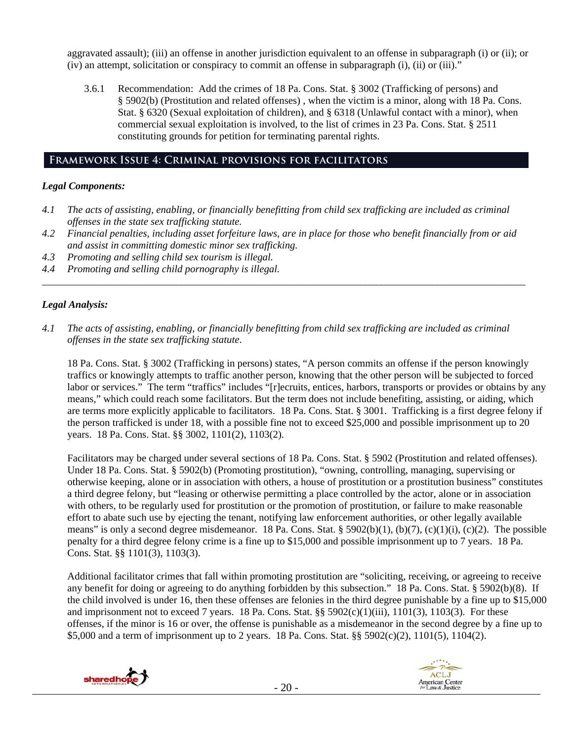aggravated assault); (iii) an offense in another jurisdiction equivalent to an offense in subparagraph (i) or (ii); or (iv) an attempt, solicitation or conspiracy to commit an offense in subparagraph (i), (ii) or (iii)."

3.6.1 Recommendation: Add the crimes of 18 Pa. Cons. Stat. § 3002 (Trafficking of persons) and § 5902(b) (Prostitution and related offenses) , when the victim is a minor, along with 18 Pa. Cons. Stat. § 6320 (Sexual exploitation of children), and § 6318 (Unlawful contact with a minor), when commercial sexual exploitation is involved, to the list of crimes in 23 Pa. Cons. Stat. § 2511 constituting grounds for petition for terminating parental rights.

## **Framework Issue 4: Criminal provisions for facilitators**

#### *Legal Components:*

- *4.1 The acts of assisting, enabling, or financially benefitting from child sex trafficking are included as criminal offenses in the state sex trafficking statute.*
- *4.2 Financial penalties, including asset forfeiture laws, are in place for those who benefit financially from or aid and assist in committing domestic minor sex trafficking.*

*\_\_\_\_\_\_\_\_\_\_\_\_\_\_\_\_\_\_\_\_\_\_\_\_\_\_\_\_\_\_\_\_\_\_\_\_\_\_\_\_\_\_\_\_\_\_\_\_\_\_\_\_\_\_\_\_\_\_\_\_\_\_\_\_\_\_\_\_\_\_\_\_\_\_\_\_\_\_\_\_\_\_\_\_\_\_\_\_\_\_\_\_\_\_* 

- *4.3 Promoting and selling child sex tourism is illegal.*
- *4.4 Promoting and selling child pornography is illegal.*

## *Legal Analysis:*

*4.1 The acts of assisting, enabling, or financially benefitting from child sex trafficking are included as criminal offenses in the state sex trafficking statute*.

18 Pa. Cons. Stat. § 3002 (Trafficking in persons) states, "A person commits an offense if the person knowingly traffics or knowingly attempts to traffic another person, knowing that the other person will be subjected to forced labor or services." The term "traffics" includes "[r]ecruits, entices, harbors, transports or provides or obtains by any means," which could reach some facilitators. But the term does not include benefiting, assisting, or aiding, which are terms more explicitly applicable to facilitators. 18 Pa. Cons. Stat. § 3001. Trafficking is a first degree felony if the person trafficked is under 18, with a possible fine not to exceed \$25,000 and possible imprisonment up to 20 years. 18 Pa. Cons. Stat. §§ 3002, 1101(2), 1103(2).

Facilitators may be charged under several sections of 18 Pa. Cons. Stat. § 5902 (Prostitution and related offenses). Under 18 Pa. Cons. Stat. § 5902(b) (Promoting prostitution), "owning, controlling, managing, supervising or otherwise keeping, alone or in association with others, a house of prostitution or a prostitution business" constitutes a third degree felony, but "leasing or otherwise permitting a place controlled by the actor, alone or in association with others, to be regularly used for prostitution or the promotion of prostitution, or failure to make reasonable effort to abate such use by ejecting the tenant, notifying law enforcement authorities, or other legally available means" is only a second degree misdemeanor. 18 Pa. Cons. Stat. §  $5902(b)(1)$ ,  $(b)(7)$ ,  $(c)(1)(i)$ ,  $(c)(2)$ . The possible penalty for a third degree felony crime is a fine up to \$15,000 and possible imprisonment up to 7 years. 18 Pa. Cons. Stat. §§ 1101(3), 1103(3).

Additional facilitator crimes that fall within promoting prostitution are "soliciting, receiving, or agreeing to receive any benefit for doing or agreeing to do anything forbidden by this subsection." 18 Pa. Cons. Stat. § 5902(b)(8). If the child involved is under 16, then these offenses are felonies in the third degree punishable by a fine up to \$15,000 and imprisonment not to exceed 7 years. 18 Pa. Cons. Stat.  $\S$  5902(c)(1)(iii), 1101(3), 1103(3). For these offenses, if the minor is 16 or over, the offense is punishable as a misdemeanor in the second degree by a fine up to \$5,000 and a term of imprisonment up to 2 years. 18 Pa. Cons. Stat. §§ 5902(c)(2), 1101(5), 1104(2).



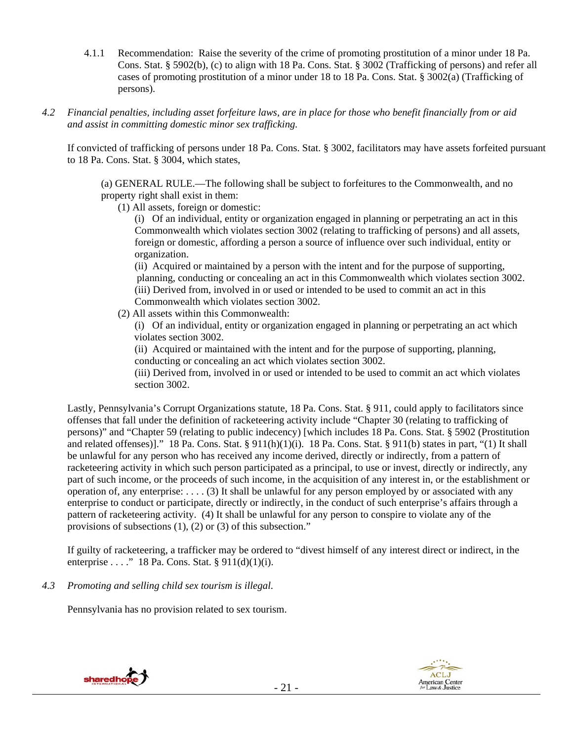- 4.1.1 Recommendation: Raise the severity of the crime of promoting prostitution of a minor under 18 Pa. Cons. Stat. § 5902(b), (c) to align with 18 Pa. Cons. Stat. § 3002 (Trafficking of persons) and refer all cases of promoting prostitution of a minor under 18 to 18 Pa. Cons. Stat. § 3002(a) (Trafficking of persons).
- *4.2 Financial penalties, including asset forfeiture laws, are in place for those who benefit financially from or aid and assist in committing domestic minor sex trafficking.*

If convicted of trafficking of persons under 18 Pa. Cons. Stat. § 3002, facilitators may have assets forfeited pursuant to 18 Pa. Cons. Stat. § 3004, which states,

(a) GENERAL RULE.—The following shall be subject to forfeitures to the Commonwealth, and no property right shall exist in them:

(1) All assets, foreign or domestic:

 (i) Of an individual, entity or organization engaged in planning or perpetrating an act in this Commonwealth which violates section 3002 (relating to trafficking of persons) and all assets, foreign or domestic, affording a person a source of influence over such individual, entity or organization.

 (ii) Acquired or maintained by a person with the intent and for the purpose of supporting, planning, conducting or concealing an act in this Commonwealth which violates section 3002. (iii) Derived from, involved in or used or intended to be used to commit an act in this Commonwealth which violates section 3002.

(2) All assets within this Commonwealth:

 (i) Of an individual, entity or organization engaged in planning or perpetrating an act which violates section 3002.

 (ii) Acquired or maintained with the intent and for the purpose of supporting, planning, conducting or concealing an act which violates section 3002.

 (iii) Derived from, involved in or used or intended to be used to commit an act which violates section 3002.

Lastly, Pennsylvania's Corrupt Organizations statute, 18 Pa. Cons. Stat. § 911, could apply to facilitators since offenses that fall under the definition of racketeering activity include "Chapter 30 (relating to trafficking of persons)" and "Chapter 59 (relating to public indecency) [which includes 18 Pa. Cons. Stat. § 5902 (Prostitution and related offenses)]." 18 Pa. Cons. Stat. §  $911(h)(1)(i)$ . 18 Pa. Cons. Stat. §  $911(b)$  states in part, "(1) It shall be unlawful for any person who has received any income derived, directly or indirectly, from a pattern of racketeering activity in which such person participated as a principal, to use or invest, directly or indirectly, any part of such income, or the proceeds of such income, in the acquisition of any interest in, or the establishment or operation of, any enterprise:  $\dots$  . (3) It shall be unlawful for any person employed by or associated with any enterprise to conduct or participate, directly or indirectly, in the conduct of such enterprise's affairs through a pattern of racketeering activity. (4) It shall be unlawful for any person to conspire to violate any of the provisions of subsections (1), (2) or (3) of this subsection."

If guilty of racketeering, a trafficker may be ordered to "divest himself of any interest direct or indirect, in the enterprise  $\dots$ ." 18 Pa. Cons. Stat. § 911(d)(1)(i).

*4.3 Promoting and selling child sex tourism is illegal*.

Pennsylvania has no provision related to sex tourism.



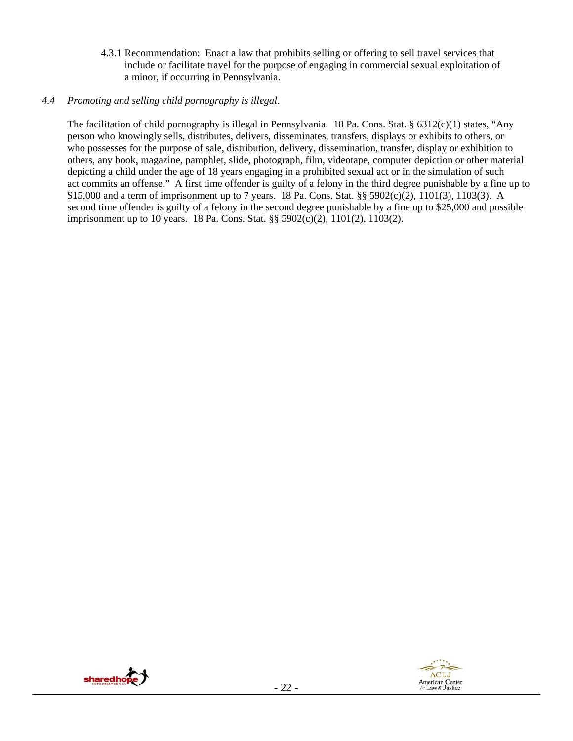4.3.1 Recommendation: Enact a law that prohibits selling or offering to sell travel services that include or facilitate travel for the purpose of engaging in commercial sexual exploitation of a minor, if occurring in Pennsylvania.

# *4.4 Promoting and selling child pornography is illegal*.

The facilitation of child pornography is illegal in Pennsylvania. 18 Pa. Cons. Stat.  $\S 6312(c)(1)$  states, "Any person who knowingly sells, distributes, delivers, disseminates, transfers, displays or exhibits to others, or who possesses for the purpose of sale, distribution, delivery, dissemination, transfer, display or exhibition to others, any book, magazine, pamphlet, slide, photograph, film, videotape, computer depiction or other material depicting a child under the age of 18 years engaging in a prohibited sexual act or in the simulation of such act commits an offense." A first time offender is guilty of a felony in the third degree punishable by a fine up to \$15,000 and a term of imprisonment up to 7 years. 18 Pa. Cons. Stat. §§ 5902(c)(2), 1101(3), 1103(3). A second time offender is guilty of a felony in the second degree punishable by a fine up to \$25,000 and possible imprisonment up to 10 years. 18 Pa. Cons. Stat. §§ 5902(c)(2), 1101(2), 1103(2).



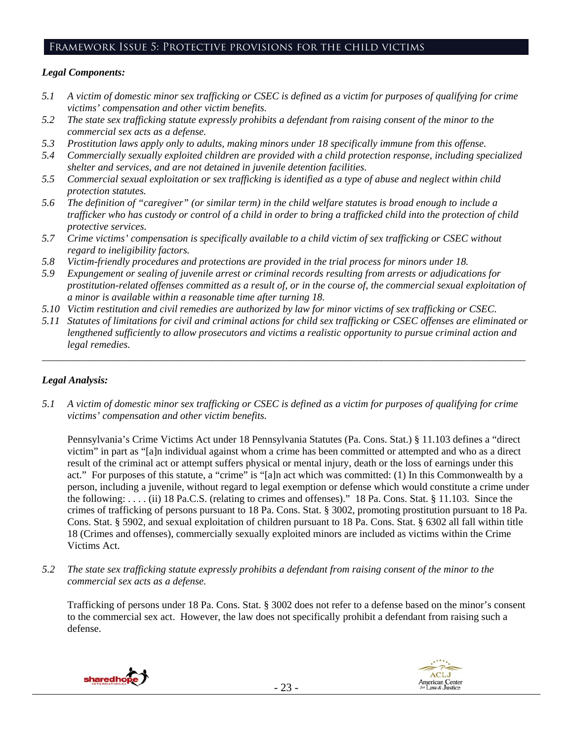# Framework Issue 5: Protective provisions for the child victims

#### *Legal Components:*

- *5.1 A victim of domestic minor sex trafficking or CSEC is defined as a victim for purposes of qualifying for crime victims' compensation and other victim benefits.*
- *5.2 The state sex trafficking statute expressly prohibits a defendant from raising consent of the minor to the commercial sex acts as a defense.*
- *5.3 Prostitution laws apply only to adults, making minors under 18 specifically immune from this offense.*
- *5.4 Commercially sexually exploited children are provided with a child protection response, including specialized shelter and services, and are not detained in juvenile detention facilities.*
- *5.5 Commercial sexual exploitation or sex trafficking is identified as a type of abuse and neglect within child protection statutes.*
- *5.6 The definition of "caregiver" (or similar term) in the child welfare statutes is broad enough to include a trafficker who has custody or control of a child in order to bring a trafficked child into the protection of child protective services.*
- *5.7 Crime victims' compensation is specifically available to a child victim of sex trafficking or CSEC without regard to ineligibility factors.*
- *5.8 Victim-friendly procedures and protections are provided in the trial process for minors under 18.*
- *5.9 Expungement or sealing of juvenile arrest or criminal records resulting from arrests or adjudications for prostitution-related offenses committed as a result of, or in the course of, the commercial sexual exploitation of a minor is available within a reasonable time after turning 18.*
- *5.10 Victim restitution and civil remedies are authorized by law for minor victims of sex trafficking or CSEC.*
- *5.11 Statutes of limitations for civil and criminal actions for child sex trafficking or CSEC offenses are eliminated or lengthened sufficiently to allow prosecutors and victims a realistic opportunity to pursue criminal action and legal remedies.*

*\_\_\_\_\_\_\_\_\_\_\_\_\_\_\_\_\_\_\_\_\_\_\_\_\_\_\_\_\_\_\_\_\_\_\_\_\_\_\_\_\_\_\_\_\_\_\_\_\_\_\_\_\_\_\_\_\_\_\_\_\_\_\_\_\_\_\_\_\_\_\_\_\_\_\_\_\_\_\_\_\_\_\_\_\_\_\_\_\_\_\_\_\_\_* 

## *Legal Analysis:*

*5.1 A victim of domestic minor sex trafficking or CSEC is defined as a victim for purposes of qualifying for crime victims' compensation and other victim benefits.* 

Pennsylvania's Crime Victims Act under 18 Pennsylvania Statutes (Pa. Cons. Stat.) § 11.103 defines a "direct victim" in part as "[a]n individual against whom a crime has been committed or attempted and who as a direct result of the criminal act or attempt suffers physical or mental injury, death or the loss of earnings under this act." For purposes of this statute, a "crime" is "[a]n act which was committed: (1) In this Commonwealth by a person, including a juvenile, without regard to legal exemption or defense which would constitute a crime under the following: . . . . (ii) 18 Pa.C.S. (relating to crimes and offenses)." 18 Pa. Cons. Stat. § 11.103. Since the crimes of trafficking of persons pursuant to 18 Pa. Cons. Stat. § 3002, promoting prostitution pursuant to 18 Pa. Cons. Stat. § 5902, and sexual exploitation of children pursuant to 18 Pa. Cons. Stat. § 6302 all fall within title 18 (Crimes and offenses), commercially sexually exploited minors are included as victims within the Crime Victims Act.

*5.2 The state sex trafficking statute expressly prohibits a defendant from raising consent of the minor to the commercial sex acts as a defense.* 

Trafficking of persons under 18 Pa. Cons. Stat. § 3002 does not refer to a defense based on the minor's consent to the commercial sex act. However, the law does not specifically prohibit a defendant from raising such a defense.



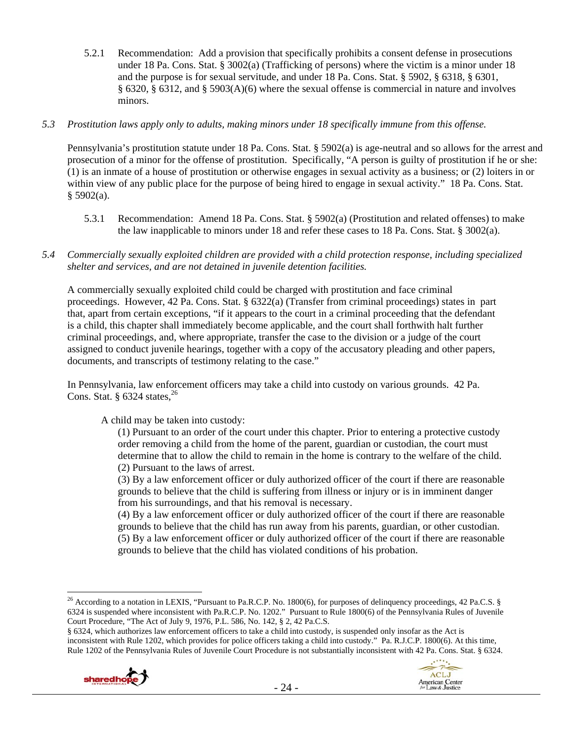5.2.1 Recommendation: Add a provision that specifically prohibits a consent defense in prosecutions under 18 Pa. Cons. Stat. § 3002(a) (Trafficking of persons) where the victim is a minor under 18 and the purpose is for sexual servitude, and under 18 Pa. Cons. Stat. § 5902, § 6318, § 6301, § 6320, § 6312, and § 5903(A)(6) where the sexual offense is commercial in nature and involves minors.

## *5.3 Prostitution laws apply only to adults, making minors under 18 specifically immune from this offense.*

Pennsylvania's prostitution statute under 18 Pa. Cons. Stat. § 5902(a) is age-neutral and so allows for the arrest and prosecution of a minor for the offense of prostitution. Specifically, "A person is guilty of prostitution if he or she: (1) is an inmate of a house of prostitution or otherwise engages in sexual activity as a business; or (2) loiters in or within view of any public place for the purpose of being hired to engage in sexual activity." 18 Pa. Cons. Stat.  $§$  5902(a).

- 5.3.1 Recommendation: Amend 18 Pa. Cons. Stat. § 5902(a) (Prostitution and related offenses) to make the law inapplicable to minors under 18 and refer these cases to 18 Pa. Cons. Stat. § 3002(a).
- *5.4 Commercially sexually exploited children are provided with a child protection response, including specialized shelter and services, and are not detained in juvenile detention facilities.*

A commercially sexually exploited child could be charged with prostitution and face criminal proceedings. However, 42 Pa. Cons. Stat. § 6322(a) (Transfer from criminal proceedings) states in part that, apart from certain exceptions, "if it appears to the court in a criminal proceeding that the defendant is a child, this chapter shall immediately become applicable, and the court shall forthwith halt further criminal proceedings, and, where appropriate, transfer the case to the division or a judge of the court assigned to conduct juvenile hearings, together with a copy of the accusatory pleading and other papers, documents, and transcripts of testimony relating to the case."

In Pennsylvania, law enforcement officers may take a child into custody on various grounds. 42 Pa. Cons. Stat. §  $6324$  states,<sup>26</sup>

A child may be taken into custody:

 (1) Pursuant to an order of the court under this chapter. Prior to entering a protective custody order removing a child from the home of the parent, guardian or custodian, the court must determine that to allow the child to remain in the home is contrary to the welfare of the child. (2) Pursuant to the laws of arrest.

(3) By a law enforcement officer or duly authorized officer of the court if there are reasonable grounds to believe that the child is suffering from illness or injury or is in imminent danger from his surroundings, and that his removal is necessary.

(4) By a law enforcement officer or duly authorized officer of the court if there are reasonable grounds to believe that the child has run away from his parents, guardian, or other custodian. (5) By a law enforcement officer or duly authorized officer of the court if there are reasonable grounds to believe that the child has violated conditions of his probation.

<sup>§ 6324,</sup> which authorizes law enforcement officers to take a child into custody, is suspended only insofar as the Act is inconsistent with Rule 1202, which provides for police officers taking a child into custody." Pa. R.J.C.P. 1800(6). At this time, Rule 1202 of the Pennsylvania Rules of Juvenile Court Procedure is not substantially inconsistent with 42 Pa. Cons. Stat. § 6324.





<sup>&</sup>lt;sup>26</sup> According to a notation in LEXIS, "Pursuant to Pa.R.C.P. No. 1800(6), for purposes of delinquency proceedings, 42 Pa.C.S. § 6324 is suspended where inconsistent with Pa.R.C.P. No. 1202." Pursuant to Rule 1800(6) of the Pennsylvania Rules of Juvenile Court Procedure, "The Act of July 9, 1976, P.L. 586, No. 142, § 2, 42 Pa.C.S.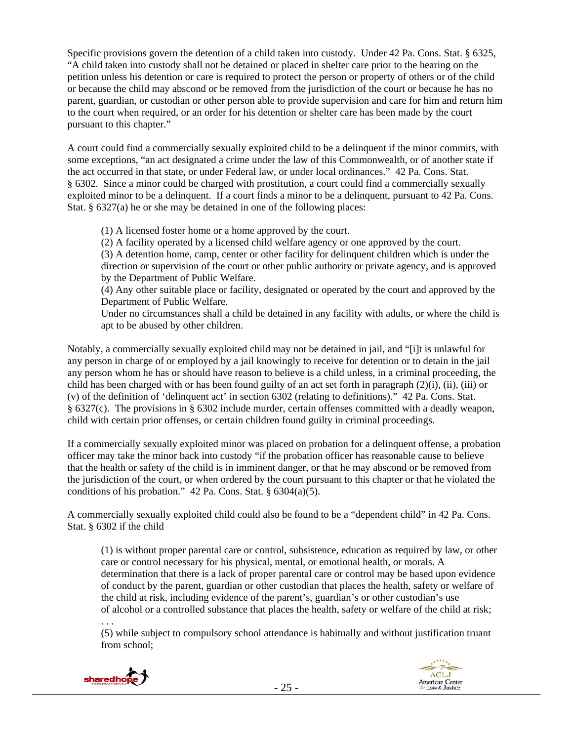Specific provisions govern the detention of a child taken into custody. Under 42 Pa. Cons. Stat. § 6325, "A child taken into custody shall not be detained or placed in shelter care prior to the hearing on the petition unless his detention or care is required to protect the person or property of others or of the child or because the child may abscond or be removed from the jurisdiction of the court or because he has no parent, guardian, or custodian or other person able to provide supervision and care for him and return him to the court when required, or an order for his detention or shelter care has been made by the court pursuant to this chapter."

A court could find a commercially sexually exploited child to be a delinquent if the minor commits, with some exceptions, "an act designated a crime under the law of this Commonwealth, or of another state if the act occurred in that state, or under Federal law, or under local ordinances." 42 Pa. Cons. Stat. § 6302. Since a minor could be charged with prostitution, a court could find a commercially sexually exploited minor to be a delinquent. If a court finds a minor to be a delinquent, pursuant to 42 Pa. Cons. Stat. § 6327(a) he or she may be detained in one of the following places:

(1) A licensed foster home or a home approved by the court.

(2) A facility operated by a licensed child welfare agency or one approved by the court.

(3) A detention home, camp, center or other facility for delinquent children which is under the direction or supervision of the court or other public authority or private agency, and is approved by the Department of Public Welfare.

(4) Any other suitable place or facility, designated or operated by the court and approved by the Department of Public Welfare.

Under no circumstances shall a child be detained in any facility with adults, or where the child is apt to be abused by other children.

Notably, a commercially sexually exploited child may not be detained in jail, and "[i]t is unlawful for any person in charge of or employed by a jail knowingly to receive for detention or to detain in the jail any person whom he has or should have reason to believe is a child unless, in a criminal proceeding, the child has been charged with or has been found guilty of an act set forth in paragraph (2)(i), (ii), (iii) or (v) of the definition of 'delinquent act' in section 6302 (relating to definitions)." 42 Pa. Cons. Stat. § 6327(c). The provisions in § 6302 include murder, certain offenses committed with a deadly weapon, child with certain prior offenses, or certain children found guilty in criminal proceedings.

If a commercially sexually exploited minor was placed on probation for a delinquent offense, a probation officer may take the minor back into custody "if the probation officer has reasonable cause to believe that the health or safety of the child is in imminent danger, or that he may abscond or be removed from the jurisdiction of the court, or when ordered by the court pursuant to this chapter or that he violated the conditions of his probation."  $42$  Pa. Cons. Stat. §  $6304(a)(5)$ .

A commercially sexually exploited child could also be found to be a "dependent child" in 42 Pa. Cons. Stat. § 6302 if the child

(1) is without proper parental care or control, subsistence, education as required by law, or other care or control necessary for his physical, mental, or emotional health, or morals. A determination that there is a lack of proper parental care or control may be based upon evidence of conduct by the parent, guardian or other custodian that places the health, safety or welfare of the child at risk, including evidence of the parent's, guardian's or other custodian's use of alcohol or a controlled substance that places the health, safety or welfare of the child at risk;

. . . (5) while subject to compulsory school attendance is habitually and without justification truant from school;



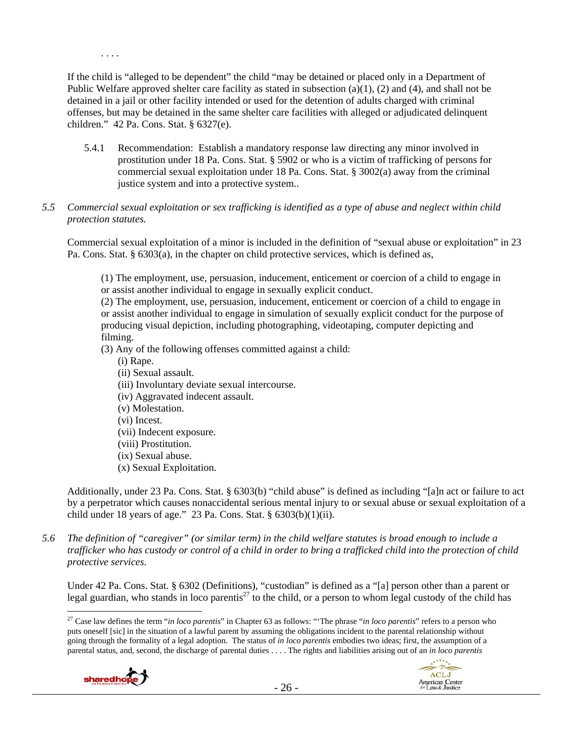If the child is "alleged to be dependent" the child "may be detained or placed only in a Department of Public Welfare approved shelter care facility as stated in subsection (a)(1), (2) and (4), and shall not be detained in a jail or other facility intended or used for the detention of adults charged with criminal offenses, but may be detained in the same shelter care facilities with alleged or adjudicated delinquent children." 42 Pa. Cons. Stat. § 6327(e).

- 5.4.1 Recommendation: Establish a mandatory response law directing any minor involved in prostitution under 18 Pa. Cons. Stat. § 5902 or who is a victim of trafficking of persons for commercial sexual exploitation under 18 Pa. Cons. Stat. § 3002(a) away from the criminal justice system and into a protective system..
- *5.5 Commercial sexual exploitation or sex trafficking is identified as a type of abuse and neglect within child protection statutes.*

Commercial sexual exploitation of a minor is included in the definition of "sexual abuse or exploitation" in 23 Pa. Cons. Stat. § 6303(a), in the chapter on child protective services, which is defined as,

(1) The employment, use, persuasion, inducement, enticement or coercion of a child to engage in or assist another individual to engage in sexually explicit conduct.

(2) The employment, use, persuasion, inducement, enticement or coercion of a child to engage in or assist another individual to engage in simulation of sexually explicit conduct for the purpose of producing visual depiction, including photographing, videotaping, computer depicting and filming.

(3) Any of the following offenses committed against a child:

(i) Rape.

. . . .

- (ii) Sexual assault.
- (iii) Involuntary deviate sexual intercourse.
- (iv) Aggravated indecent assault.
- (v) Molestation.
- (vi) Incest.
- (vii) Indecent exposure.
- (viii) Prostitution.
- (ix) Sexual abuse.
- (x) Sexual Exploitation.

Additionally, under 23 Pa. Cons. Stat. § 6303(b) "child abuse" is defined as including "[a]n act or failure to act by a perpetrator which causes nonaccidental serious mental injury to or sexual abuse or sexual exploitation of a child under 18 years of age." 23 Pa. Cons. Stat.  $\S$  6303(b)(1)(ii).

*5.6 The definition of "caregiver" (or similar term) in the child welfare statutes is broad enough to include a trafficker who has custody or control of a child in order to bring a trafficked child into the protection of child protective services.* 

Under 42 Pa. Cons. Stat. § 6302 (Definitions), "custodian" is defined as a "[a] person other than a parent or legal guardian, who stands in loco parentis<sup>27</sup> to the child, or a person to whom legal custody of the child has

 $\overline{a}$ 27 Case law defines the term "*in loco parentis*" in Chapter 63 as follows: "'The phrase "*in loco parentis*" refers to a person who puts oneself [sic] in the situation of a lawful parent by assuming the obligations incident to the parental relationship without going through the formality of a legal adoption. The status of *in loco parentis* embodies two ideas; first, the assumption of a parental status, and, second, the discharge of parental duties . . . . The rights and liabilities arising out of an *in loco parentis*

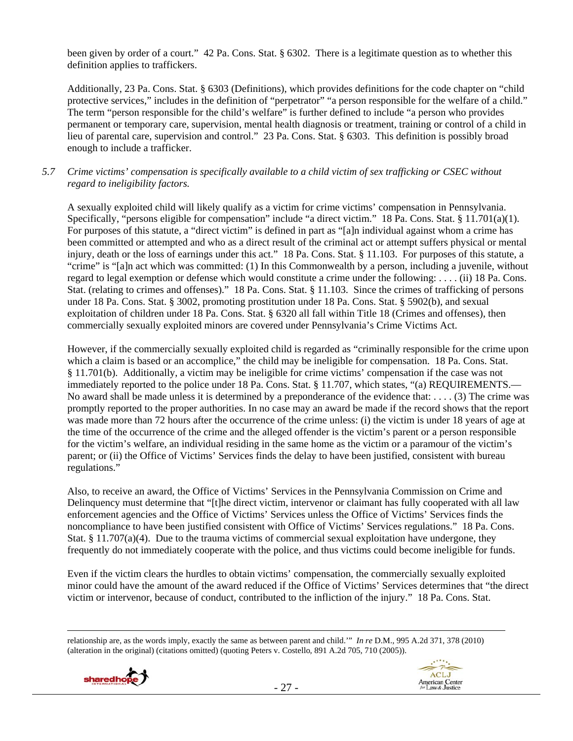been given by order of a court." 42 Pa. Cons. Stat. § 6302. There is a legitimate question as to whether this definition applies to traffickers.

Additionally, 23 Pa. Cons. Stat. § 6303 (Definitions), which provides definitions for the code chapter on "child protective services," includes in the definition of "perpetrator" "a person responsible for the welfare of a child." The term "person responsible for the child's welfare" is further defined to include "a person who provides permanent or temporary care, supervision, mental health diagnosis or treatment, training or control of a child in lieu of parental care, supervision and control." 23 Pa. Cons. Stat. § 6303. This definition is possibly broad enough to include a trafficker.

## *5.7 Crime victims' compensation is specifically available to a child victim of sex trafficking or CSEC without regard to ineligibility factors.*

A sexually exploited child will likely qualify as a victim for crime victims' compensation in Pennsylvania. Specifically, "persons eligible for compensation" include "a direct victim." 18 Pa. Cons. Stat. § 11.701(a)(1). For purposes of this statute, a "direct victim" is defined in part as "[a]n individual against whom a crime has been committed or attempted and who as a direct result of the criminal act or attempt suffers physical or mental injury, death or the loss of earnings under this act." 18 Pa. Cons. Stat. § 11.103. For purposes of this statute, a "crime" is "[a]n act which was committed: (1) In this Commonwealth by a person, including a juvenile, without regard to legal exemption or defense which would constitute a crime under the following: . . . . (ii) 18 Pa. Cons. Stat. (relating to crimes and offenses)." 18 Pa. Cons. Stat. § 11.103. Since the crimes of trafficking of persons under 18 Pa. Cons. Stat. § 3002, promoting prostitution under 18 Pa. Cons. Stat. § 5902(b), and sexual exploitation of children under 18 Pa. Cons. Stat. § 6320 all fall within Title 18 (Crimes and offenses), then commercially sexually exploited minors are covered under Pennsylvania's Crime Victims Act.

However, if the commercially sexually exploited child is regarded as "criminally responsible for the crime upon which a claim is based or an accomplice," the child may be ineligible for compensation. 18 Pa. Cons. Stat. § 11.701(b). Additionally, a victim may be ineligible for crime victims' compensation if the case was not immediately reported to the police under 18 Pa. Cons. Stat. § 11.707, which states, "(a) REQUIREMENTS.— No award shall be made unless it is determined by a preponderance of the evidence that: . . . . (3) The crime was promptly reported to the proper authorities. In no case may an award be made if the record shows that the report was made more than 72 hours after the occurrence of the crime unless: (i) the victim is under 18 years of age at the time of the occurrence of the crime and the alleged offender is the victim's parent or a person responsible for the victim's welfare, an individual residing in the same home as the victim or a paramour of the victim's parent; or (ii) the Office of Victims' Services finds the delay to have been justified, consistent with bureau regulations."

Also, to receive an award, the Office of Victims' Services in the Pennsylvania Commission on Crime and Delinquency must determine that "[t]he direct victim, intervenor or claimant has fully cooperated with all law enforcement agencies and the Office of Victims' Services unless the Office of Victims' Services finds the noncompliance to have been justified consistent with Office of Victims' Services regulations." 18 Pa. Cons. Stat. § 11.707(a)(4). Due to the trauma victims of commercial sexual exploitation have undergone, they frequently do not immediately cooperate with the police, and thus victims could become ineligible for funds.

Even if the victim clears the hurdles to obtain victims' compensation, the commercially sexually exploited minor could have the amount of the award reduced if the Office of Victims' Services determines that "the direct victim or intervenor, because of conduct, contributed to the infliction of the injury." 18 Pa. Cons. Stat.

relationship are, as the words imply, exactly the same as between parent and child.'" *In re* D.M.*,* 995 A.2d 371, 378 (2010) (alteration in the original) (citations omitted) (quoting Peters v. Costello*,* 891 A.2d 705, 710 (2005)).



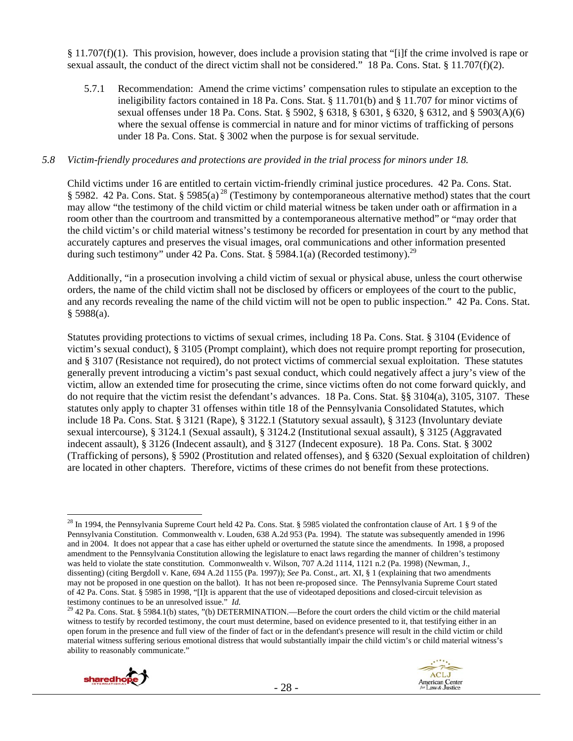$§$  11.707(f)(1). This provision, however, does include a provision stating that "[i]f the crime involved is rape or sexual assault, the conduct of the direct victim shall not be considered." 18 Pa. Cons. Stat. § 11.707(f)(2).

5.7.1 Recommendation: Amend the crime victims' compensation rules to stipulate an exception to the ineligibility factors contained in 18 Pa. Cons. Stat. § 11.701(b) and § 11.707 for minor victims of sexual offenses under 18 Pa. Cons. Stat. § 5902, § 6318, § 6301, § 6320, § 6312, and § 5903(A)(6) where the sexual offense is commercial in nature and for minor victims of trafficking of persons under 18 Pa. Cons. Stat. § 3002 when the purpose is for sexual servitude.

#### *5.8 Victim-friendly procedures and protections are provided in the trial process for minors under 18.*

Child victims under 16 are entitled to certain victim-friendly criminal justice procedures. 42 Pa. Cons. Stat. § 5982. 42 Pa. Cons. Stat. § 5985(a)<sup>28</sup> (Testimony by contemporaneous alternative method) states that the court may allow "the testimony of the child victim or child material witness be taken under oath or affirmation in a room other than the courtroom and transmitted by a contemporaneous alternative method" or "may order that the child victim's or child material witness's testimony be recorded for presentation in court by any method that accurately captures and preserves the visual images, oral communications and other information presented during such testimony" under 42 Pa. Cons. Stat. § 5984.1(a) (Recorded testimony).<sup>29</sup>

Additionally, "in a prosecution involving a child victim of sexual or physical abuse, unless the court otherwise orders, the name of the child victim shall not be disclosed by officers or employees of the court to the public, and any records revealing the name of the child victim will not be open to public inspection." 42 Pa. Cons. Stat. § 5988(a).

Statutes providing protections to victims of sexual crimes, including 18 Pa. Cons. Stat. § 3104 (Evidence of victim's sexual conduct), § 3105 (Prompt complaint), which does not require prompt reporting for prosecution, and § 3107 (Resistance not required), do not protect victims of commercial sexual exploitation. These statutes generally prevent introducing a victim's past sexual conduct, which could negatively affect a jury's view of the victim, allow an extended time for prosecuting the crime, since victims often do not come forward quickly, and do not require that the victim resist the defendant's advances. 18 Pa. Cons. Stat. §§ 3104(a), 3105, 3107. These statutes only apply to chapter 31 offenses within title 18 of the Pennsylvania Consolidated Statutes, which include 18 Pa. Cons. Stat. § 3121 (Rape), § 3122.1 (Statutory sexual assault), § 3123 (Involuntary deviate sexual intercourse), § 3124.1 (Sexual assault), § 3124.2 (Institutional sexual assault), § 3125 (Aggravated indecent assault), § 3126 (Indecent assault), and § 3127 (Indecent exposure). 18 Pa. Cons. Stat. § 3002 (Trafficking of persons), § 5902 (Prostitution and related offenses), and § 6320 (Sexual exploitation of children) are located in other chapters. Therefore, victims of these crimes do not benefit from these protections.

<sup>&</sup>lt;sup>29</sup> 42 Pa. Cons. Stat. § 5984.1(b) states, "(b) DETERMINATION.—Before the court orders the child victim or the child material witness to testify by recorded testimony, the court must determine, based on evidence presented to it, that testifying either in an open forum in the presence and full view of the finder of fact or in the defendant's presence will result in the child victim or child material witness suffering serious emotional distress that would substantially impair the child victim's or child material witness's ability to reasonably communicate."



<sup>&</sup>lt;sup>28</sup> In 1994, the Pennsylvania Supreme Court held 42 Pa. Cons. Stat. § 5985 violated the confrontation clause of Art. 1 § 9 of the Pennsylvania Constitution. Commonwealth v. Louden, 638 A.2d 953 (Pa. 1994). The statute was subsequently amended in 1996 and in 2004. It does not appear that a case has either upheld or overturned the statute since the amendments. In 1998, a proposed amendment to the Pennsylvania Constitution allowing the legislature to enact laws regarding the manner of children's testimony was held to violate the state constitution. Commonwealth v. Wilson, 707 A.2d 1114, 1121 n.2 (Pa. 1998) (Newman, J., dissenting) (citing Bergdoll v. Kane, 694 A.2d 1155 (Pa. 1997)); *See* Pa. Const., art. XI, § 1 (explaining that two amendments may not be proposed in one question on the ballot). It has not been re-proposed since. The Pennsylvania Supreme Court stated of 42 Pa. Cons. Stat. § 5985 in 1998, "[I]t is apparent that the use of videotaped depositions and closed-circuit television as testimony continues to be an unresolved issue."  $Id$ .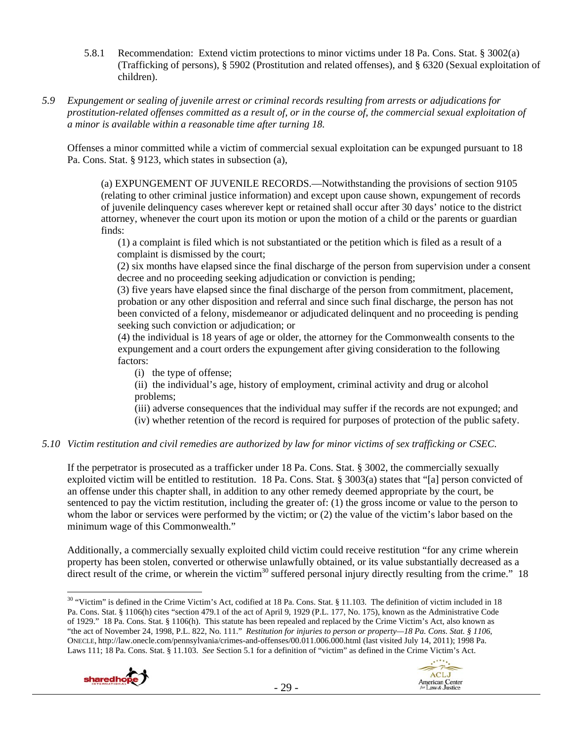- 5.8.1 Recommendation: Extend victim protections to minor victims under 18 Pa. Cons. Stat. § 3002(a) (Trafficking of persons), § 5902 (Prostitution and related offenses), and § 6320 (Sexual exploitation of children).
- *5.9 Expungement or sealing of juvenile arrest or criminal records resulting from arrests or adjudications for prostitution-related offenses committed as a result of, or in the course of, the commercial sexual exploitation of a minor is available within a reasonable time after turning 18.*

Offenses a minor committed while a victim of commercial sexual exploitation can be expunged pursuant to 18 Pa. Cons. Stat. § 9123, which states in subsection (a),

(a) EXPUNGEMENT OF JUVENILE RECORDS.—Notwithstanding the provisions of section 9105 (relating to other criminal justice information) and except upon cause shown, expungement of records of juvenile delinquency cases wherever kept or retained shall occur after 30 days' notice to the district attorney, whenever the court upon its motion or upon the motion of a child or the parents or guardian finds:

 (1) a complaint is filed which is not substantiated or the petition which is filed as a result of a complaint is dismissed by the court;

(2) six months have elapsed since the final discharge of the person from supervision under a consent decree and no proceeding seeking adjudication or conviction is pending;

(3) five years have elapsed since the final discharge of the person from commitment, placement, probation or any other disposition and referral and since such final discharge, the person has not been convicted of a felony, misdemeanor or adjudicated delinquent and no proceeding is pending seeking such conviction or adjudication; or

 (4) the individual is 18 years of age or older, the attorney for the Commonwealth consents to the expungement and a court orders the expungement after giving consideration to the following factors:

(i) the type of offense;

 (ii) the individual's age, history of employment, criminal activity and drug or alcohol problems;

(iii) adverse consequences that the individual may suffer if the records are not expunged; and

(iv) whether retention of the record is required for purposes of protection of the public safety.

## *5.10 Victim restitution and civil remedies are authorized by law for minor victims of sex trafficking or CSEC.*

If the perpetrator is prosecuted as a trafficker under 18 Pa. Cons. Stat. § 3002, the commercially sexually exploited victim will be entitled to restitution. 18 Pa. Cons. Stat. § 3003(a) states that "[a] person convicted of an offense under this chapter shall, in addition to any other remedy deemed appropriate by the court, be sentenced to pay the victim restitution, including the greater of: (1) the gross income or value to the person to whom the labor or services were performed by the victim; or (2) the value of the victim's labor based on the minimum wage of this Commonwealth."

Additionally, a commercially sexually exploited child victim could receive restitution "for any crime wherein property has been stolen, converted or otherwise unlawfully obtained, or its value substantially decreased as a direct result of the crime, or wherein the victim<sup>30</sup> suffered personal injury directly resulting from the crime." 18

<sup>&</sup>lt;sup>30</sup> "Victim" is defined in the Crime Victim's Act, codified at 18 Pa. Cons. Stat. § 11.103. The definition of victim included in 18 Pa. Cons. Stat. § 1106(h) cites "section 479.1 of the act of April 9, 1929 (P.L. 177, No. 175), known as the Administrative Code of 1929." 18 Pa. Cons. Stat. § 1106(h). This statute has been repealed and replaced by the Crime Victim's Act, also known as "the act of November 24, 1998, P.L. 822, No. 111." *Restitution for injuries to person or property—18 Pa. Cons. Stat. § 1106*, ONECLE, http://law.onecle.com/pennsylvania/crimes-and-offenses/00.011.006.000.html (last visited July 14, 2011); 1998 Pa. Laws 111; 18 Pa. Cons. Stat. § 11.103. *See* Section 5.1 for a definition of "victim" as defined in the Crime Victim's Act.

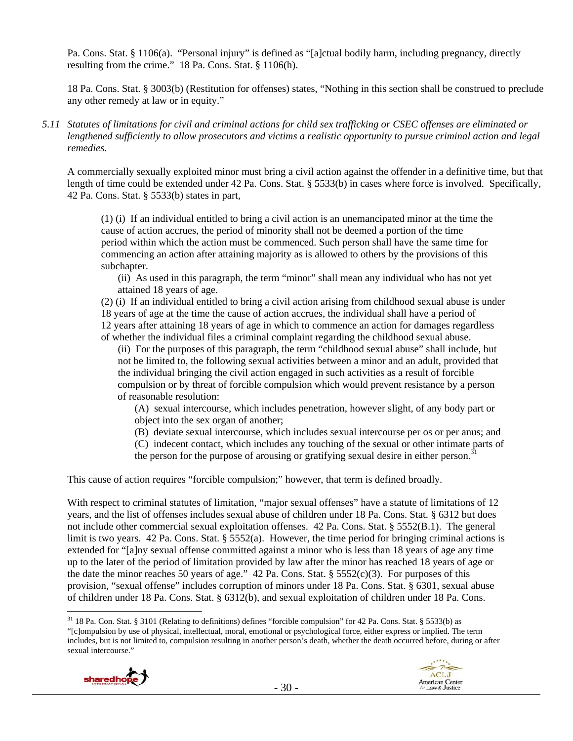Pa. Cons. Stat. § 1106(a). "Personal injury" is defined as "[a]ctual bodily harm, including pregnancy, directly resulting from the crime." 18 Pa. Cons. Stat. § 1106(h).

18 Pa. Cons. Stat. § 3003(b) (Restitution for offenses) states, "Nothing in this section shall be construed to preclude any other remedy at law or in equity."

*5.11 Statutes of limitations for civil and criminal actions for child sex trafficking or CSEC offenses are eliminated or lengthened sufficiently to allow prosecutors and victims a realistic opportunity to pursue criminal action and legal remedies.* 

A commercially sexually exploited minor must bring a civil action against the offender in a definitive time, but that length of time could be extended under 42 Pa. Cons. Stat. § 5533(b) in cases where force is involved. Specifically, 42 Pa. Cons. Stat. § 5533(b) states in part,

(1) (i) If an individual entitled to bring a civil action is an unemancipated minor at the time the cause of action accrues, the period of minority shall not be deemed a portion of the time period within which the action must be commenced. Such person shall have the same time for commencing an action after attaining majority as is allowed to others by the provisions of this subchapter.

 (ii) As used in this paragraph, the term "minor" shall mean any individual who has not yet attained 18 years of age.

(2) (i) If an individual entitled to bring a civil action arising from childhood sexual abuse is under 18 years of age at the time the cause of action accrues, the individual shall have a period of 12 years after attaining 18 years of age in which to commence an action for damages regardless of whether the individual files a criminal complaint regarding the childhood sexual abuse.

(ii) For the purposes of this paragraph, the term "childhood sexual abuse" shall include, but not be limited to, the following sexual activities between a minor and an adult, provided that the individual bringing the civil action engaged in such activities as a result of forcible compulsion or by threat of forcible compulsion which would prevent resistance by a person of reasonable resolution:

 (A) sexual intercourse, which includes penetration, however slight, of any body part or object into the sex organ of another;

- (B) deviate sexual intercourse, which includes sexual intercourse per os or per anus; and
- (C) indecent contact, which includes any touching of the sexual or other intimate parts of

the person for the purpose of arousing or gratifying sexual desire in either person.<sup>31</sup>

This cause of action requires "forcible compulsion;" however, that term is defined broadly.

With respect to criminal statutes of limitation, "major sexual offenses" have a statute of limitations of 12 years, and the list of offenses includes sexual abuse of children under 18 Pa. Cons. Stat. § 6312 but does not include other commercial sexual exploitation offenses. 42 Pa. Cons. Stat. § 5552(B.1). The general limit is two years. 42 Pa. Cons. Stat. § 5552(a). However, the time period for bringing criminal actions is extended for "[a]ny sexual offense committed against a minor who is less than 18 years of age any time up to the later of the period of limitation provided by law after the minor has reached 18 years of age or the date the minor reaches 50 years of age." 42 Pa. Cons. Stat.  $\S$  5552(c)(3). For purposes of this provision, "sexual offense" includes corruption of minors under 18 Pa. Cons. Stat. § 6301, sexual abuse of children under 18 Pa. Cons. Stat. § 6312(b), and sexual exploitation of children under 18 Pa. Cons.

<sup>31 18</sup> Pa. Con. Stat. § 3101 (Relating to definitions) defines "forcible compulsion" for 42 Pa. Cons. Stat. § 5533(b) as "[c]ompulsion by use of physical, intellectual, moral, emotional or psychological force, either express or implied. The term includes, but is not limited to, compulsion resulting in another person's death, whether the death occurred before, during or after sexual intercourse."

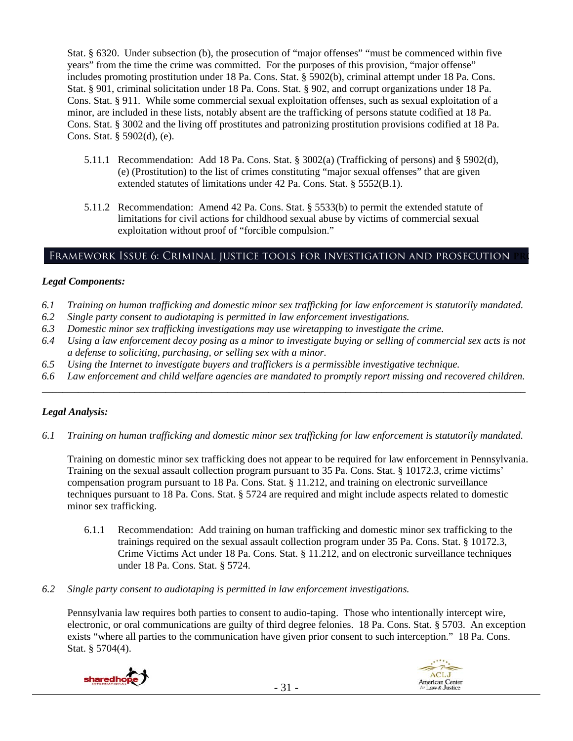Stat. § 6320. Under subsection (b), the prosecution of "major offenses" "must be commenced within five years" from the time the crime was committed. For the purposes of this provision, "major offense" includes promoting prostitution under 18 Pa. Cons. Stat. § 5902(b), criminal attempt under 18 Pa. Cons. Stat. § 901, criminal solicitation under 18 Pa. Cons. Stat. § 902, and corrupt organizations under 18 Pa. Cons. Stat. § 911. While some commercial sexual exploitation offenses, such as sexual exploitation of a minor, are included in these lists, notably absent are the trafficking of persons statute codified at 18 Pa. Cons. Stat. § 3002 and the living off prostitutes and patronizing prostitution provisions codified at 18 Pa. Cons. Stat. § 5902(d), (e).

- 5.11.1 Recommendation: Add 18 Pa. Cons. Stat. § 3002(a) (Trafficking of persons) and § 5902(d), (e) (Prostitution) to the list of crimes constituting "major sexual offenses" that are given extended statutes of limitations under 42 Pa. Cons. Stat. § 5552(B.1).
- 5.11.2 Recommendation: Amend 42 Pa. Cons. Stat. § 5533(b) to permit the extended statute of limitations for civil actions for childhood sexual abuse by victims of commercial sexual exploitation without proof of "forcible compulsion."

## Framework Issue 6: Criminal justice tools for investigation and prosecution **pro**

## *Legal Components:*

- *6.1 Training on human trafficking and domestic minor sex trafficking for law enforcement is statutorily mandated.*
- *6.2 Single party consent to audiotaping is permitted in law enforcement investigations.*
- *6.3 Domestic minor sex trafficking investigations may use wiretapping to investigate the crime.*
- *6.4 Using a law enforcement decoy posing as a minor to investigate buying or selling of commercial sex acts is not a defense to soliciting, purchasing, or selling sex with a minor.*
- *6.5 Using the Internet to investigate buyers and traffickers is a permissible investigative technique.*
- *6.6 Law enforcement and child welfare agencies are mandated to promptly report missing and recovered children. \_\_\_\_\_\_\_\_\_\_\_\_\_\_\_\_\_\_\_\_\_\_\_\_\_\_\_\_\_\_\_\_\_\_\_\_\_\_\_\_\_\_\_\_\_\_\_\_\_\_\_\_\_\_\_\_\_\_\_\_\_\_\_\_\_\_\_\_\_\_\_\_\_\_\_\_\_\_\_\_\_\_\_\_\_\_\_\_\_\_\_\_\_\_*

## *Legal Analysis:*

*6.1 Training on human trafficking and domestic minor sex trafficking for law enforcement is statutorily mandated.*

Training on domestic minor sex trafficking does not appear to be required for law enforcement in Pennsylvania. Training on the sexual assault collection program pursuant to 35 Pa. Cons. Stat. § 10172.3, crime victims' compensation program pursuant to 18 Pa. Cons. Stat. § 11.212, and training on electronic surveillance techniques pursuant to 18 Pa. Cons. Stat. § 5724 are required and might include aspects related to domestic minor sex trafficking.

- 6.1.1 Recommendation: Add training on human trafficking and domestic minor sex trafficking to the trainings required on the sexual assault collection program under 35 Pa. Cons. Stat. § 10172.3, Crime Victims Act under 18 Pa. Cons. Stat. § 11.212, and on electronic surveillance techniques under 18 Pa. Cons. Stat. § 5724.
- *6.2 Single party consent to audiotaping is permitted in law enforcement investigations.*

Pennsylvania law requires both parties to consent to audio-taping. Those who intentionally intercept wire, electronic, or oral communications are guilty of third degree felonies. 18 Pa. Cons. Stat. § 5703. An exception exists "where all parties to the communication have given prior consent to such interception." 18 Pa. Cons. Stat. § 5704(4).

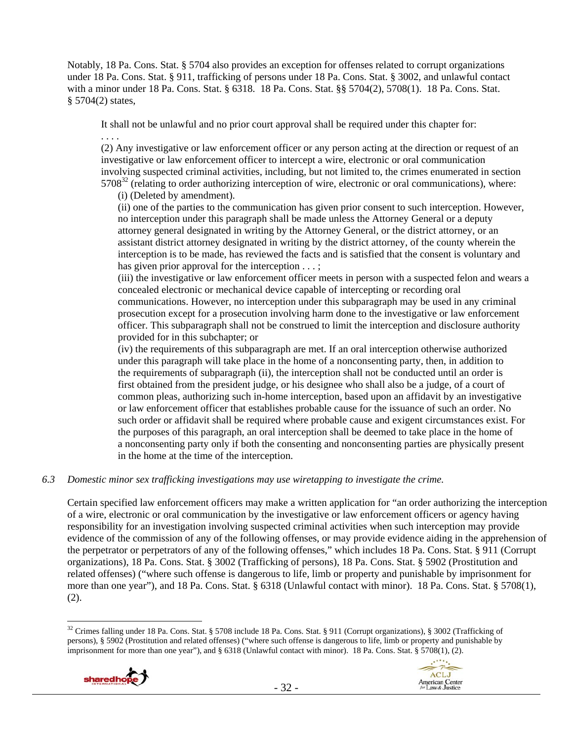Notably, 18 Pa. Cons. Stat. § 5704 also provides an exception for offenses related to corrupt organizations under 18 Pa. Cons. Stat. § 911, trafficking of persons under 18 Pa. Cons. Stat. § 3002, and unlawful contact with a minor under 18 Pa. Cons. Stat. § 6318. 18 Pa. Cons. Stat. §§ 5704(2), 5708(1). 18 Pa. Cons. Stat. § 5704(2) states,

It shall not be unlawful and no prior court approval shall be required under this chapter for: . . . .

(2) Any investigative or law enforcement officer or any person acting at the direction or request of an investigative or law enforcement officer to intercept a wire, electronic or oral communication involving suspected criminal activities, including, but not limited to, the crimes enumerated in section  $5708<sup>32</sup>$  (relating to order authorizing interception of wire, electronic or oral communications), where:

(i) (Deleted by amendment).

(ii) one of the parties to the communication has given prior consent to such interception. However, no interception under this paragraph shall be made unless the Attorney General or a deputy attorney general designated in writing by the Attorney General, or the district attorney, or an assistant district attorney designated in writing by the district attorney, of the county wherein the interception is to be made, has reviewed the facts and is satisfied that the consent is voluntary and has given prior approval for the interception . . . ;

 (iii) the investigative or law enforcement officer meets in person with a suspected felon and wears a concealed electronic or mechanical device capable of intercepting or recording oral communications. However, no interception under this subparagraph may be used in any criminal prosecution except for a prosecution involving harm done to the investigative or law enforcement officer. This subparagraph shall not be construed to limit the interception and disclosure authority provided for in this subchapter; or

(iv) the requirements of this subparagraph are met. If an oral interception otherwise authorized under this paragraph will take place in the home of a nonconsenting party, then, in addition to the requirements of subparagraph (ii), the interception shall not be conducted until an order is first obtained from the president judge, or his designee who shall also be a judge, of a court of common pleas, authorizing such in-home interception, based upon an affidavit by an investigative or law enforcement officer that establishes probable cause for the issuance of such an order. No such order or affidavit shall be required where probable cause and exigent circumstances exist. For the purposes of this paragraph, an oral interception shall be deemed to take place in the home of a nonconsenting party only if both the consenting and nonconsenting parties are physically present in the home at the time of the interception.

*6.3 Domestic minor sex trafficking investigations may use wiretapping to investigate the crime.* 

Certain specified law enforcement officers may make a written application for "an order authorizing the interception of a wire, electronic or oral communication by the investigative or law enforcement officers or agency having responsibility for an investigation involving suspected criminal activities when such interception may provide evidence of the commission of any of the following offenses, or may provide evidence aiding in the apprehension of the perpetrator or perpetrators of any of the following offenses," which includes 18 Pa. Cons. Stat. § 911 (Corrupt organizations), 18 Pa. Cons. Stat. § 3002 (Trafficking of persons), 18 Pa. Cons. Stat. § 5902 (Prostitution and related offenses) ("where such offense is dangerous to life, limb or property and punishable by imprisonment for more than one year"), and 18 Pa. Cons. Stat. § 6318 (Unlawful contact with minor). 18 Pa. Cons. Stat. § 5708(1), (2).

 $\overline{a}$ <sup>32</sup> Crimes falling under 18 Pa. Cons. Stat. § 5708 include 18 Pa. Cons. Stat. § 911 (Corrupt organizations), § 3002 (Trafficking of persons), § 5902 (Prostitution and related offenses) ("where such offense is dangerous to life, limb or property and punishable by imprisonment for more than one year"), and § 6318 (Unlawful contact with minor). 18 Pa. Cons. Stat. § 5708(1), (2).

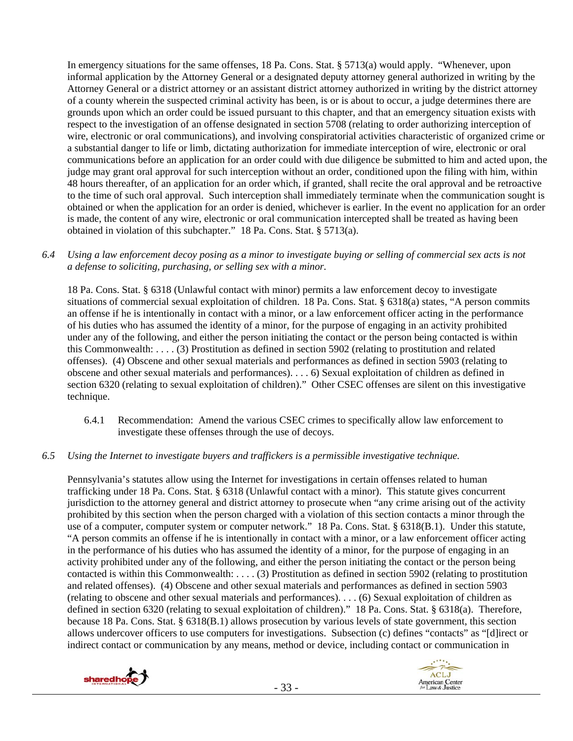In emergency situations for the same offenses, 18 Pa. Cons. Stat. § 5713(a) would apply. "Whenever, upon informal application by the Attorney General or a designated deputy attorney general authorized in writing by the Attorney General or a district attorney or an assistant district attorney authorized in writing by the district attorney of a county wherein the suspected criminal activity has been, is or is about to occur, a judge determines there are grounds upon which an order could be issued pursuant to this chapter, and that an emergency situation exists with respect to the investigation of an offense designated in section 5708 (relating to order authorizing interception of wire, electronic or oral communications), and involving conspiratorial activities characteristic of organized crime or a substantial danger to life or limb, dictating authorization for immediate interception of wire, electronic or oral communications before an application for an order could with due diligence be submitted to him and acted upon, the judge may grant oral approval for such interception without an order, conditioned upon the filing with him, within 48 hours thereafter, of an application for an order which, if granted, shall recite the oral approval and be retroactive to the time of such oral approval. Such interception shall immediately terminate when the communication sought is obtained or when the application for an order is denied, whichever is earlier. In the event no application for an order is made, the content of any wire, electronic or oral communication intercepted shall be treated as having been obtained in violation of this subchapter." 18 Pa. Cons. Stat. § 5713(a).

*6.4 Using a law enforcement decoy posing as a minor to investigate buying or selling of commercial sex acts is not a defense to soliciting, purchasing, or selling sex with a minor.* 

18 Pa. Cons. Stat. § 6318 (Unlawful contact with minor) permits a law enforcement decoy to investigate situations of commercial sexual exploitation of children. 18 Pa. Cons. Stat. § 6318(a) states, "A person commits an offense if he is intentionally in contact with a minor, or a law enforcement officer acting in the performance of his duties who has assumed the identity of a minor, for the purpose of engaging in an activity prohibited under any of the following, and either the person initiating the contact or the person being contacted is within this Commonwealth: . . . . (3) Prostitution as defined in section 5902 (relating to prostitution and related offenses). (4) Obscene and other sexual materials and performances as defined in section 5903 (relating to obscene and other sexual materials and performances). . . . 6) Sexual exploitation of children as defined in section 6320 (relating to sexual exploitation of children)." Other CSEC offenses are silent on this investigative technique.

6.4.1 Recommendation: Amend the various CSEC crimes to specifically allow law enforcement to investigate these offenses through the use of decoys.

## *6.5 Using the Internet to investigate buyers and traffickers is a permissible investigative technique.*

Pennsylvania's statutes allow using the Internet for investigations in certain offenses related to human trafficking under 18 Pa. Cons. Stat. § 6318 (Unlawful contact with a minor). This statute gives concurrent jurisdiction to the attorney general and district attorney to prosecute when "any crime arising out of the activity prohibited by this section when the person charged with a violation of this section contacts a minor through the use of a computer, computer system or computer network." 18 Pa. Cons. Stat. § 6318(B.1). Under this statute, "A person commits an offense if he is intentionally in contact with a minor, or a law enforcement officer acting in the performance of his duties who has assumed the identity of a minor, for the purpose of engaging in an activity prohibited under any of the following, and either the person initiating the contact or the person being contacted is within this Commonwealth: . . . . (3) Prostitution as defined in section 5902 (relating to prostitution and related offenses). (4) Obscene and other sexual materials and performances as defined in section 5903 (relating to obscene and other sexual materials and performances). . . . (6) Sexual exploitation of children as defined in section 6320 (relating to sexual exploitation of children)." 18 Pa. Cons. Stat. § 6318(a). Therefore, because 18 Pa. Cons. Stat. § 6318(B.1) allows prosecution by various levels of state government, this section allows undercover officers to use computers for investigations. Subsection (c) defines "contacts" as "[d]irect or indirect contact or communication by any means, method or device, including contact or communication in